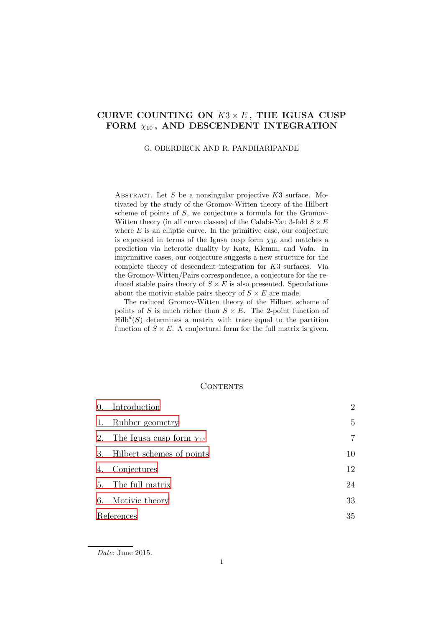# CURVE COUNTING ON  $K3 \times E$ , THE IGUSA CUSP FORM  $\chi_{10}$ , AND DESCENDENT INTEGRATION

### G. OBERDIECK AND R. PANDHARIPANDE

ABSTRACT. Let  $S$  be a nonsingular projective  $K3$  surface. Motivated by the study of the Gromov-Witten theory of the Hilbert scheme of points of S, we conjecture a formula for the Gromov-Witten theory (in all curve classes) of the Calabi-Yau 3-fold  $S \times E$ where  $E$  is an elliptic curve. In the primitive case, our conjecture is expressed in terms of the Igusa cusp form  $\chi_{10}$  and matches a prediction via heterotic duality by Katz, Klemm, and Vafa. In imprimitive cases, our conjecture suggests a new structure for the complete theory of descendent integration for K3 surfaces. Via the Gromov-Witten/Pairs correspondence, a conjecture for the reduced stable pairs theory of  $S \times E$  is also presented. Speculations about the motivic stable pairs theory of  $S \times E$  are made.

The reduced Gromov-Witten theory of the Hilbert scheme of points of S is much richer than  $S \times E$ . The 2-point function of  $\text{Hilb}^d(S)$  determines a matrix with trace equal to the partition function of  $S \times E$ . A conjectural form for the full matrix is given.

# CONTENTS

| $\overline{0}$ . | Introduction                    | $\overline{2}$ |
|------------------|---------------------------------|----------------|
| 1.               | Rubber geometry                 | 5              |
| 2.               | The Igusa cusp form $\chi_{10}$ | $\overline{7}$ |
| 3.               | Hilbert schemes of points       | 10             |
| 4.               | Conjectures                     | 12             |
| 5.               | The full matrix                 | 24             |
| 6.               | Motivic theory                  | 33             |
| References       |                                 | 35             |
|                  |                                 |                |

*Date*: June 2015.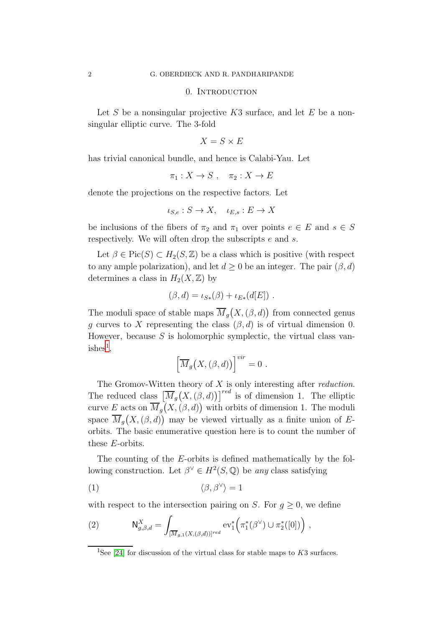#### 0. INTRODUCTION

<span id="page-1-0"></span>Let S be a nonsingular projective  $K3$  surface, and let E be a nonsingular elliptic curve. The 3-fold

$$
X=S\times E
$$

has trivial canonical bundle, and hence is Calabi-Yau. Let

$$
\pi_1: X \to S \ , \quad \pi_2: X \to E
$$

denote the projections on the respective factors. Let

$$
\iota_{S,e}: S \to X, \quad \iota_{E,s}: E \to X
$$

be inclusions of the fibers of  $\pi_2$  and  $\pi_1$  over points  $e \in E$  and  $s \in S$ respectively. We will often drop the subscripts e and s.

Let  $\beta \in Pic(S) \subset H_2(S, \mathbb{Z})$  be a class which is positive (with respect to any ample polarization), and let  $d \geq 0$  be an integer. The pair  $(\beta, d)$ determines a class in  $H_2(X,\mathbb{Z})$  by

$$
(\beta,d) = \iota_{S*}(\beta) + \iota_{E*}(d[E]) .
$$

The moduli space of stable maps  $\overline{M}_g(X, (\beta, d))$  from connected genus q curves to X representing the class  $(\beta, d)$  is of virtual dimension 0. However, because  $S$  is holomorphic symplectic, the virtual class van- $ishes<sup>1</sup>$  $ishes<sup>1</sup>$  $ishes<sup>1</sup>$ ,

$$
\left[\overline{M}_g(X,(\beta,d))\right]^{vir}=0.
$$

The Gromov-Witten theory of  $X$  is only interesting after *reduction*. The reduced class  $\left[\overline{M}_g(X, (\beta, d))\right]^{red}$  is of dimension 1. The elliptic curve E acts on  $\overline{M}_g(X, (\beta, d))$  with orbits of dimension 1. The moduli space  $\overline{M}_g(X, (\beta, d))$  may be viewed virtually as a finite union of Eorbits. The basic enumerative question here is to count the number of these E-orbits.

The counting of the E-orbits is defined mathematically by the following construction. Let  $\beta^{\vee} \in H^2(S, \mathbb{Q})$  be any class satisfying

<span id="page-1-2"></span>
$$
\langle \beta, \beta^{\vee} \rangle = 1
$$

with respect to the intersection pairing on S. For  $g \geq 0$ , we define

<span id="page-1-3"></span>(2) 
$$
\mathsf{N}_{g,\beta,d}^X = \int_{[\overline{M}_{g,1}(X,(\beta,d))]^{red}} \mathrm{ev}_1^*\Big(\pi_1^*(\beta^\vee) \cup \pi_2^*([0])\Big) ,
$$

<span id="page-1-1"></span><sup>&</sup>lt;sup>1</sup>See [\[24\]](#page-35-0) for discussion of the virtual class for stable maps to  $K3$  surfaces.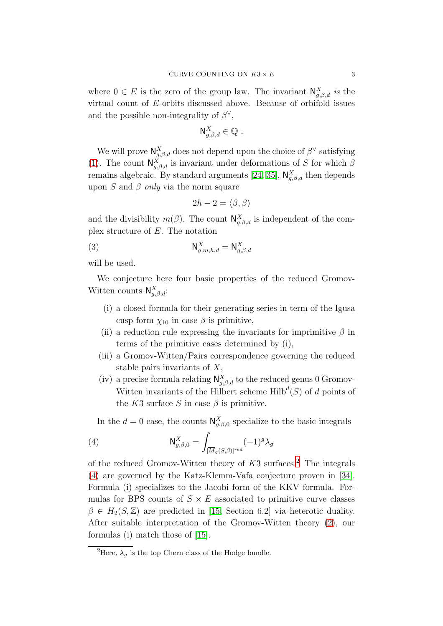where  $0 \in E$  is the zero of the group law. The invariant  $\mathsf{N}_{g,\beta,d}^X$  is the virtual count of E-orbits discussed above. Because of orbifold issues and the possible non-integrality of  $\beta^{\vee}$ ,

$$
\mathsf{N}_{g,\beta,d}^X\in\mathbb{Q}.
$$

We will prove  $\mathsf{N}^X_{g,\beta,d}$  does not depend upon the choice of  $\beta^\vee$  satisfying [\(1\)](#page-1-2). The count  $\mathsf{N}_{g,\beta,d}^X$  is invariant under deformations of S for which  $\beta$ remains algebraic. By standard arguments [\[24,](#page-35-0) [35\]](#page-36-0),  $\mathsf{N}_{g,\beta,d}^X$  then depends upon S and  $\beta$  only via the norm square

<span id="page-2-2"></span>
$$
2h - 2 = \langle \beta, \beta \rangle
$$

and the divisibility  $m(\beta)$ . The count  $\mathsf{N}_{g,\beta,d}^X$  is independent of the complex structure of E. The notation

$$
\mathsf{N}_{g,m,h,d}^X = \mathsf{N}_{g,\beta,d}^X
$$

will be used.

We conjecture here four basic properties of the reduced Gromov-Witten counts  $\mathsf{N}_{g,\beta,d}^X$ :

- (i) a closed formula for their generating series in term of the Igusa cusp form  $\chi_{10}$  in case  $\beta$  is primitive,
- (ii) a reduction rule expressing the invariants for imprimitive  $\beta$  in terms of the primitive cases determined by (i),
- (iii) a Gromov-Witten/Pairs correspondence governing the reduced stable pairs invariants of  $X$ ,
- (iv) a precise formula relating  $\mathsf{N}_{g,\beta,d}^X$  to the reduced genus 0 Gromov-Witten invariants of the Hilbert scheme  $\text{Hilb}^d(S)$  of d points of the K3 surface S in case  $\beta$  is primitive.

<span id="page-2-1"></span>In the  $d=0$  case, the counts  $\mathsf{N}_{g,\beta,0}^X$  specialize to the basic integrals

(4) 
$$
\mathsf{N}_{g,\beta,0}^X = \int_{[\overline{M}_g(S,\beta)]^{red}} (-1)^g \lambda_g
$$

of the reduced Gromov-Witten theory of  $K3$  surfaces.<sup>[2](#page-2-0)</sup> The integrals [\(4\)](#page-2-1) are governed by the Katz-Klemm-Vafa conjecture proven in [\[34\]](#page-36-1). Formula (i) specializes to the Jacobi form of the KKV formula. Formulas for BPS counts of  $S \times E$  associated to primitive curve classes  $\beta \in H_2(S, \mathbb{Z})$  are predicted in [\[15,](#page-35-1) Section 6.2] via heterotic duality. After suitable interpretation of the Gromov-Witten theory [\(2\)](#page-1-3), our formulas (i) match those of [\[15\]](#page-35-1).

<span id="page-2-0"></span><sup>&</sup>lt;sup>2</sup>Here,  $\lambda_q$  is the top Chern class of the Hodge bundle.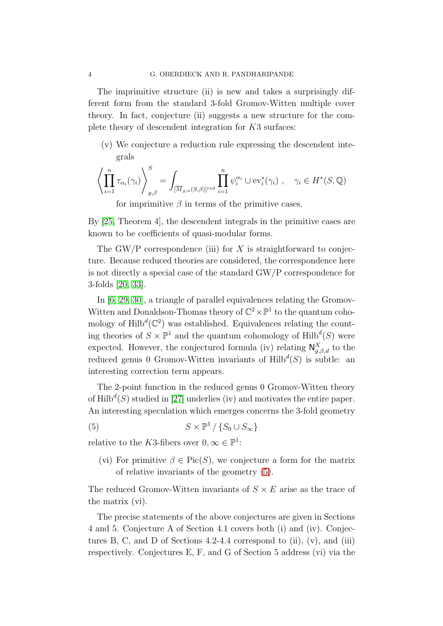The imprimitive structure (ii) is new and takes a surprisingly different form from the standard 3-fold Gromov-Witten multiple cover theory. In fact, conjecture (ii) suggests a new structure for the complete theory of descendent integration for K3 surfaces:

(v) We conjecture a reduction rule expressing the descendent integrals

$$
\left\langle \prod_{i=1}^n \tau_{\alpha_i}(\gamma_i) \right\rangle_{g,\beta}^S = \int_{[\overline{M}_{g,n}(S,\beta)]^{red}} \prod_{i=1}^n \psi_i^{\alpha_i} \cup \text{ev}_i^*(\gamma_i) , \quad \gamma_i \in H^*(S,\mathbb{Q})
$$

for imprimitive  $\beta$  in terms of the primitive cases.

By [\[25,](#page-35-2) Theorem 4], the descendent integrals in the primitive cases are known to be coefficients of quasi-modular forms.

The GW/P correspondence (iii) for X is straightforward to conjecture. Because reduced theories are considered, the correspondence here is not directly a special case of the standard GW/P correspondence for 3-folds [\[20,](#page-35-3) [33\]](#page-35-4).

In [\[6,](#page-34-1) [29,](#page-35-5) [30\]](#page-35-6), a triangle of parallel equivalences relating the Gromov-Witten and Donaldson-Thomas theory of  $\mathbb{C}^2 \times \mathbb{P}^1$  to the quantum cohomology of  $\text{Hilb}^d(\mathbb{C}^2)$  was established. Equivalences relating the counting theories of  $S \times \mathbb{P}^1$  and the quantum cohomology of  $\text{Hilb}^d(S)$  were expected. However, the conjectured formula (iv) relating  $\mathsf{N}_{g,\beta,d}^X$  to the reduced genus 0 Gromov-Witten invariants of  $Hilb<sup>d</sup>(S)$  is subtle: an interesting correction term appears.

The 2-point function in the reduced genus 0 Gromov-Witten theory of  $\text{Hilb}^d(S)$  studied in [\[27\]](#page-35-7) underlies (iv) and motivates the entire paper. An interesting speculation which emerges concerns the 3-fold geometry

$$
(5) \tS \times \mathbb{P}^1 / \{S_0 \cup S_{\infty}\}\
$$

relative to the K3-fibers over  $0, \infty \in \mathbb{P}^1$ :

<span id="page-3-0"></span>(vi) For primitive  $\beta \in Pic(S)$ , we conjecture a form for the matrix of relative invariants of the geometry [\(5\)](#page-3-0).

The reduced Gromov-Witten invariants of  $S \times E$  arise as the trace of the matrix (vi).

The precise statements of the above conjectures are given in Sections 4 and 5. Conjecture A of Section 4.1 covers both (i) and (iv). Conjectures B, C, and D of Sections  $4.2\n-4.4$  correspond to (ii), (v), and (iii) respectively. Conjectures E, F, and G of Section 5 address (vi) via the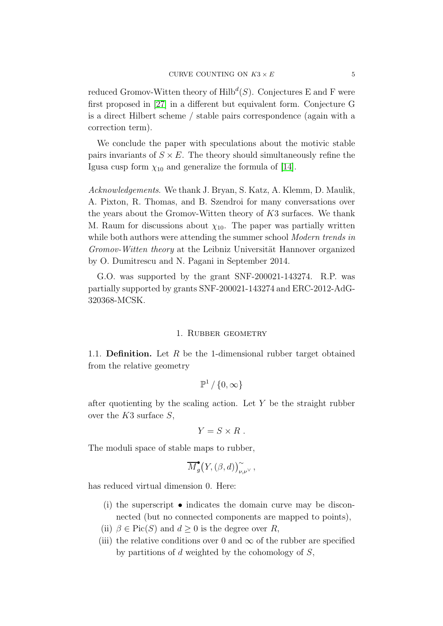reduced Gromov-Witten theory of  $\mathrm{Hilb}^d(S)$ . Conjectures E and F were first proposed in [\[27\]](#page-35-7) in a different but equivalent form. Conjecture G is a direct Hilbert scheme / stable pairs correspondence (again with a correction term).

We conclude the paper with speculations about the motivic stable pairs invariants of  $S \times E$ . The theory should simultaneously refine the Igusa cusp form  $\chi_{10}$  and generalize the formula of [\[14\]](#page-35-8).

Acknowledgements. We thank J. Bryan, S. Katz, A. Klemm, D. Maulik, A. Pixton, R. Thomas, and B. Szendroi for many conversations over the years about the Gromov-Witten theory of K3 surfaces. We thank M. Raum for discussions about  $\chi_{10}$ . The paper was partially written while both authors were attending the summer school Modern trends in Gromov-Witten theory at the Leibniz Universität Hannover organized by O. Dumitrescu and N. Pagani in September 2014.

<span id="page-4-0"></span>G.O. was supported by the grant SNF-200021-143274. R.P. was partially supported by grants SNF-200021-143274 and ERC-2012-AdG-320368-MCSK.

#### 1. RUBBER GEOMETRY

1.1. **Definition.** Let R be the 1-dimensional rubber target obtained from the relative geometry

$$
\mathbb{P}^1\,/\,\{0,\infty\}
$$

after quotienting by the scaling action. Let  $Y$  be the straight rubber over the  $K3$  surface  $S$ ,

$$
Y=S\times R\;.
$$

The moduli space of stable maps to rubber,

$$
\overline{M}_{g}^{\bullet}\big(Y, (\beta,d)\big)_{\nu,\nu^{\vee}}^{\sim},
$$

has reduced virtual dimension 0. Here:

- (i) the superscript  $\bullet$  indicates the domain curve may be disconnected (but no connected components are mapped to points),
- (ii)  $\beta \in Pic(S)$  and  $d \geq 0$  is the degree over R,
- (iii) the relative conditions over 0 and  $\infty$  of the rubber are specified by partitions of  $d$  weighted by the cohomology of  $S$ ,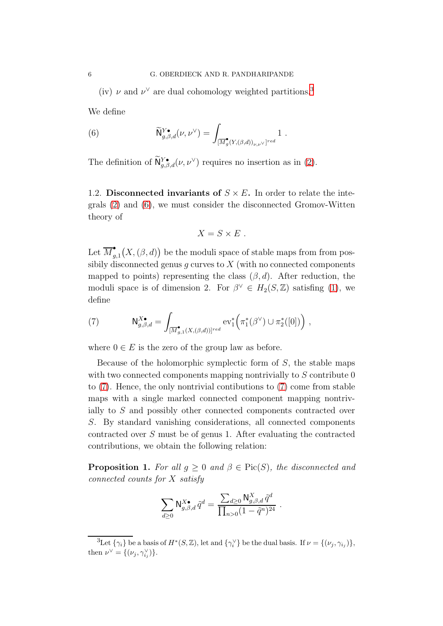(iv)  $\nu$  and  $\nu^{\vee}$  are dual cohomology weighted partitions.<sup>[3](#page-5-0)</sup>

We define

<span id="page-5-1"></span>(6) 
$$
\widetilde{\mathsf{N}}_{g,\beta,d}^{Y\bullet}(\nu,\nu^{\vee}) = \int_{[\overline{M}_{g}^{\bullet}(Y,(\beta,d))_{\nu,\nu^{\vee}}]^{red}} 1.
$$

The definition of  $\mathsf{N}^{Y\bullet}_{g,\beta,d}(\nu,\nu^\vee)$  requires no insertion as in [\(2\)](#page-1-3).

1.2. Disconnected invariants of  $S \times E$ . In order to relate the integrals [\(2\)](#page-1-3) and [\(6\)](#page-5-1), we must consider the disconnected Gromov-Witten theory of

$$
X = S \times E .
$$

Let  $\overline{M}_q^{\bullet}$  $\binom{•}{g,1}(X, (\beta, d))$  be the moduli space of stable maps from from possibily disconnected genus q curves to  $X$  (with no connected components mapped to points) representing the class  $(\beta, d)$ . After reduction, the moduli space is of dimension 2. For  $\beta^{\vee} \in H_2(S, \mathbb{Z})$  satisfing [\(1\)](#page-1-2), we define

<span id="page-5-2"></span>(7) 
$$
\mathsf{N}_{g,\beta,d}^{X\bullet} = \int_{[\overline{M}_{g,1}^{\bullet}(X,(\beta,d))]^{red}} \mathrm{ev}_1^*\left(\pi_1^*(\beta^{\vee}) \cup \pi_2^*([0])\right),
$$

where  $0 \in E$  is the zero of the group law as before.

Because of the holomorphic symplectic form of  $S$ , the stable maps with two connected components mapping nontrivially to S contribute 0 to [\(7\)](#page-5-2). Hence, the only nontrivial contibutions to [\(7\)](#page-5-2) come from stable maps with a single marked connected component mapping nontrivially to S and possibly other connected components contracted over S. By standard vanishing considerations, all connected components contracted over S must be of genus 1. After evaluating the contracted contributions, we obtain the following relation:

**Proposition 1.** For all  $g \geq 0$  and  $\beta \in Pic(S)$ , the disconnected and connected counts for X satisfy

$$
\sum_{d\geq 0} \mathsf{N}^{X\bullet}_{g,\beta,d}\,\tilde{q}^d = \frac{\sum_{d\geq 0} \mathsf{N}^X_{g,\beta,d}\,\tilde{q}^d}{\prod_{n>0} (1-\tilde{q}^n)^{24}}\ .
$$

<span id="page-5-0"></span><sup>&</sup>lt;sup>3</sup>Let  $\{\gamma_i\}$  be a basis of  $H^*(S, \mathbb{Z})$ , let and  $\{\gamma_i^{\vee}\}\$  be the dual basis. If  $\nu = \{(\nu_j, \gamma_{i_j})\},$ then  $\nu^{\vee} = \{(\nu_j, \gamma_{i_j}^{\vee})\}.$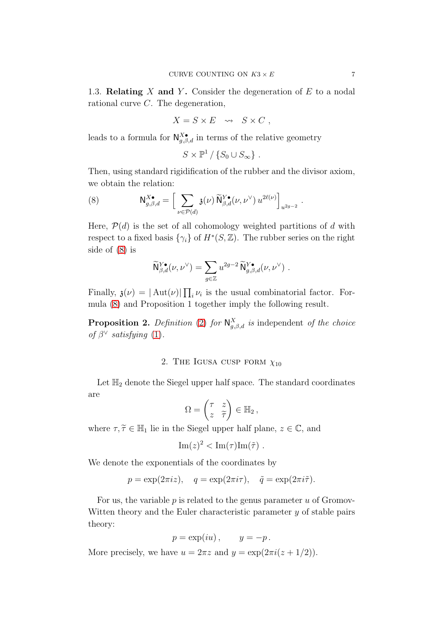1.3. **Relating** X and Y. Consider the degeneration of  $E$  to a nodal rational curve C. The degeneration,

$$
X = S \times E \quad \leadsto \quad S \times C \ ,
$$

leads to a formula for  $\mathsf{N}_{g,\beta,d}^{\chi\bullet}$  in terms of the relative geometry

$$
S \times \mathbb{P}^1 / \{ S_0 \cup S_{\infty} \} .
$$

Then, using standard rigidification of the rubber and the divisor axiom, we obtain the relation:

<span id="page-6-1"></span>(8) 
$$
\mathsf{N}_{g,\beta,d}^{X\bullet} = \left[ \sum_{\nu \in \mathcal{P}(d)} \mathfrak{z}(\nu) \widetilde{\mathsf{N}}_{\beta,d}^{Y\bullet}(\nu, \nu^{\vee}) u^{2\ell(\nu)} \right]_{u^{2g-2}}.
$$

Here,  $\mathcal{P}(d)$  is the set of all cohomology weighted partitions of d with respect to a fixed basis  $\{\gamma_i\}$  of  $H^*(S, \mathbb{Z})$ . The rubber series on the right side of [\(8\)](#page-6-1) is

$$
\widetilde{\mathsf{N}}_{\beta,d}^{Y\bullet}(\nu,\nu^\vee) = \sum_{g\in\mathbb{Z}} u^{2g-2} \widetilde{\mathsf{N}}_{g,\beta,d}^{Y\bullet}(\nu,\nu^\vee) .
$$

Finally,  $\mathfrak{z}(\nu) = |\operatorname{Aut}(\nu)| \prod_i \nu_i$  is the usual combinatorial factor. Formula [\(8\)](#page-6-1) and Proposition 1 together imply the following result.

<span id="page-6-0"></span>**Proposition 2.** Definition [\(2\)](#page-1-3) for  $\mathsf{N}_{g,\beta,d}^X$  is independent of the choice of  $\beta^{\vee}$  satisfying [\(1\)](#page-1-2).

## 2. THE IGUSA CUSP FORM  $\chi_{10}$

Let  $\mathbb{H}_2$  denote the Siegel upper half space. The standard coordinates are

$$
\Omega = \begin{pmatrix} \tau & z \\ z & \widetilde{\tau} \end{pmatrix} \in \mathbb{H}_2,
$$

where  $\tau, \tilde{\tau} \in \mathbb{H}_1$  lie in the Siegel upper half plane,  $z \in \mathbb{C}$ , and

$$
\mathrm{Im}(z)^2 < \mathrm{Im}(\tau)\mathrm{Im}(\tilde{\tau}) .
$$

We denote the exponentials of the coordinates by

$$
p = \exp(2\pi i z), \quad q = \exp(2\pi i \tau), \quad \tilde{q} = \exp(2\pi i \tilde{\tau}).
$$

For us, the variable  $p$  is related to the genus parameter  $u$  of Gromov-Witten theory and the Euler characteristic parameter  $y$  of stable pairs theory:

$$
p = \exp(iu) , \qquad y = -p .
$$

More precisely, we have  $u = 2\pi z$  and  $y = \exp(2\pi i (z + 1/2))$ .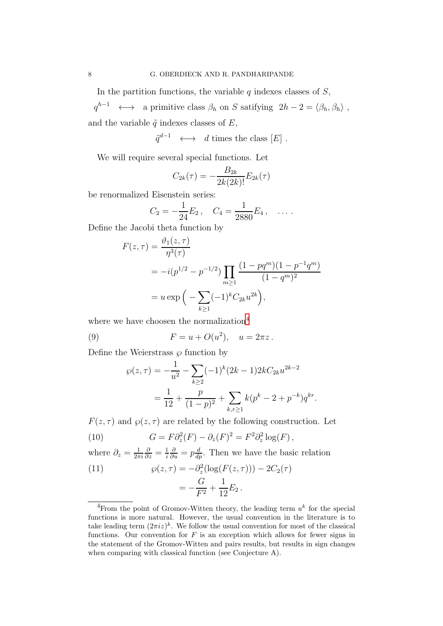In the partition functions, the variable  $q$  indexes classes of  $S$ ,

 $q^{h-1} \longleftrightarrow$  a primitive class  $\beta_h$  on S satifying  $2h-2 = \langle \beta_h, \beta_h \rangle$ , and the variable  $\tilde{q}$  indexes classes of E,

 $\tilde{q}^{d-1} \longleftrightarrow d \text{ times the class } [E] .$ 

We will require several special functions. Let

$$
C_{2k}(\tau) = -\frac{B_{2k}}{2k(2k)!}E_{2k}(\tau)
$$

be renormalized Eisenstein series:

$$
C_2 = -\frac{1}{24}E_2\,,\quad C_4 = \frac{1}{2880}E_4\,,\quad \ldots\,.
$$

Define the Jacobi theta function by

$$
F(z,\tau) = \frac{\vartheta_1(z,\tau)}{\eta^3(\tau)}
$$
  
=  $-i(p^{1/2} - p^{-1/2}) \prod_{m \ge 1} \frac{(1 - pq^m)(1 - p^{-1}q^m)}{(1 - q^m)^2}$   
=  $u \exp\left(-\sum_{k \ge 1} (-1)^k C_{2k} u^{2k}\right),$ 

where we have choosen the normalization<sup>[4](#page-7-0)</sup>

(9) 
$$
F = u + O(u^2), \quad u = 2\pi z.
$$

Define the Weierstrass  $\wp$  function by

<span id="page-7-1"></span>
$$
\wp(z,\tau) = -\frac{1}{u^2} - \sum_{k\geq 2} (-1)^k (2k-1)2kC_{2k}u^{2k-2}
$$

$$
= \frac{1}{12} + \frac{p}{(1-p)^2} + \sum_{k,r\geq 1} k(p^k - 2 + p^{-k})q^{kr}.
$$

 $F(z, \tau)$  and  $\wp(z, \tau)$  are related by the following construction. Let

<span id="page-7-2"></span>(10) 
$$
G = F\partial_z^2(F) - \partial_z(F)^2 = F^2\partial_z^2 \log(F),
$$

where  $\partial_z = \frac{1}{2\pi}$  $2\pi i$  $\frac{\partial}{\partial z}=\frac{1}{i}$ i  $\frac{\partial}{\partial u} = p\frac{d}{dp}$ . Then we have the basic relation

<span id="page-7-3"></span>(11) 
$$
\wp(z,\tau) = -\partial_z^2(\log(F(z,\tau))) - 2C_2(\tau) \n= -\frac{G}{F^2} + \frac{1}{12}E_2.
$$

<span id="page-7-0"></span><sup>&</sup>lt;sup>4</sup>From the point of Gromov-Witten theory, the leading term  $u^k$  for the special functions is more natural. However, the usual convention in the literature is to take leading term  $(2\pi i z)^k$ . We follow the usual convention for most of the classical functions. Our convention for  $F$  is an exception which allows for fewer signs in the statement of the Gromov-Witten and pairs results, but results in sign changes when comparing with classical function (see Conjecture A).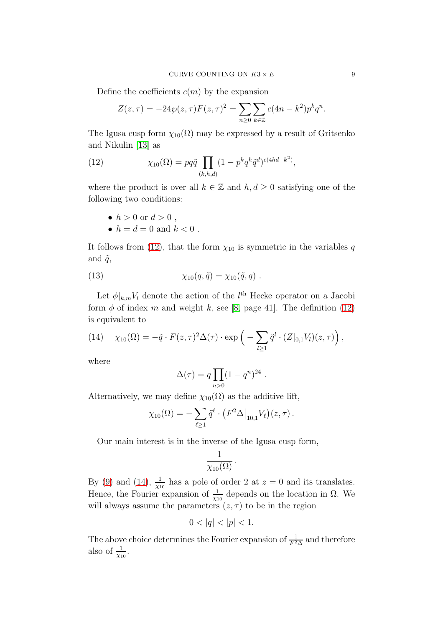Define the coefficients  $c(m)$  by the expansion

$$
Z(z,\tau) = -24\wp(z,\tau)F(z,\tau)^{2} = \sum_{n\geq 0} \sum_{k\in\mathbb{Z}} c(4n-k^{2})p^{k}q^{n}.
$$

The Igusa cusp form  $\chi_{10}(\Omega)$  may be expressed by a result of Gritsenko and Nikulin [\[13\]](#page-35-9) as

<span id="page-8-0"></span>(12) 
$$
\chi_{10}(\Omega) = pq\tilde{q} \prod_{(k,h,d)} (1 - p^k q^h \tilde{q}^d)^{c(4hd - k^2)},
$$

where the product is over all  $k \in \mathbb{Z}$  and  $h, d \geq 0$  satisfying one of the following two conditions:

- $h > 0$  or  $d > 0$ .
- <span id="page-8-2"></span>•  $h = d = 0$  and  $k < 0$ .

It follows from [\(12\)](#page-8-0), that the form  $\chi_{10}$  is symmetric in the variables q and  $\tilde{q}$ ,

(13) 
$$
\chi_{10}(q, \tilde{q}) = \chi_{10}(\tilde{q}, q) .
$$

Let  $\phi|_{k,m}V_l$  denote the action of the  $l^{\text{th}}$  Hecke operator on a Jacobi form  $\phi$  of index m and weight k, see [\[8,](#page-34-2) page 41]. The definition [\(12\)](#page-8-0) is equivalent to

<span id="page-8-1"></span>(14) 
$$
\chi_{10}(\Omega) = -\tilde{q} \cdot F(z,\tau)^2 \Delta(\tau) \cdot \exp\left(-\sum_{l \geq 1} \tilde{q}^l \cdot (Z|_{0,1} V_l)(z,\tau)\right),
$$

where

$$
\Delta(\tau) = q \prod_{n>0} (1-q^n)^{24} .
$$

Alternatively, we may define  $\chi_{10}(\Omega)$  as the additive lift,

$$
\chi_{10}(\Omega) = -\sum_{\ell \geq 1} \tilde{q}^{\ell} \cdot (F^2 \Delta|_{10,1} V_{\ell})(z,\tau).
$$

Our main interest is in the inverse of the Igusa cusp form,

$$
\frac{1}{\chi_{10}(\Omega)}\,.
$$

By [\(9\)](#page-7-1) and [\(14\)](#page-8-1),  $\frac{1}{\chi_{10}}$  has a pole of order 2 at  $z = 0$  and its translates. Hence, the Fourier expansion of  $\frac{1}{\chi_{10}}$  depends on the location in  $\Omega$ . We will always assume the parameters  $(z, \tau)$  to be in the region

$$
0 < |q| < |p| < 1.
$$

The above choice determines the Fourier expansion of  $\frac{1}{F^2\Delta}$  and therefore also of  $\frac{1}{\chi_{10}}$ .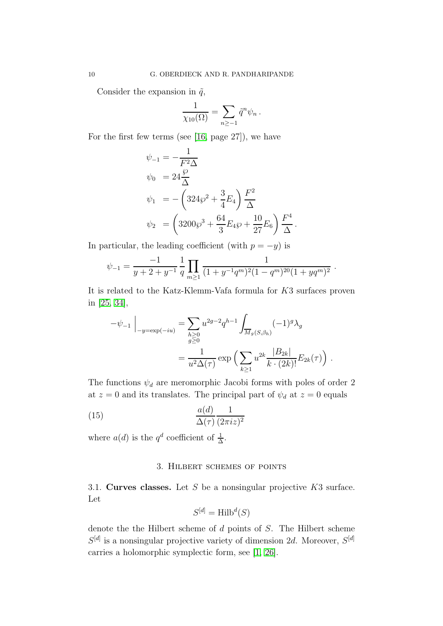Consider the expansion in  $\tilde{q}$ ,

$$
\frac{1}{\chi_{10}(\Omega)} = \sum_{n \ge -1} \tilde{q}^n \psi_n.
$$

For the first few terms (see [\[16,](#page-35-10) page 27]), we have

$$
\psi_{-1} = -\frac{1}{F^2 \Delta} \n\psi_0 = 24 \frac{\wp}{\Delta} \n\psi_1 = -\left(324 \wp^2 + \frac{3}{4} E_4\right) \frac{F^2}{\Delta} \n\psi_2 = \left(3200 \wp^3 + \frac{64}{3} E_4 \wp + \frac{10}{27} E_6\right) \frac{F^4}{\Delta}.
$$

In particular, the leading coefficient (with  $p = -y$ ) is

$$
\psi_{-1} = \frac{-1}{y+2+y^{-1}} \frac{1}{q} \prod_{m \geq 1} \frac{1}{(1+y^{-1}q^m)^2 (1-q^m)^{20} (1+yq^m)^2}.
$$

It is related to the Katz-Klemm-Vafa formula for K3 surfaces proven in [\[25,](#page-35-2) [34\]](#page-36-1),

$$
-\psi_{-1}\Big|_{-y=\exp(-iu)} = \sum_{\substack{h\geq 0\\ g\geq 0}} u^{2g-2} q^{h-1} \int_{\overline{M}_g(S,\beta_h)} (-1)^g \lambda_g
$$
  
= 
$$
\frac{1}{u^2 \Delta(\tau)} \exp\Big(\sum_{k\geq 1} u^{2k} \frac{|B_{2k}|}{k \cdot (2k)!} E_{2k}(\tau)\Big).
$$

The functions  $\psi_d$  are meromorphic Jacobi forms with poles of order 2 at  $z = 0$  and its translates. The principal part of  $\psi_d$  at  $z = 0$  equals

(15) 
$$
\frac{a(d)}{\Delta(\tau)} \frac{1}{(2\pi i z)^2}
$$

<span id="page-9-0"></span>where  $a(d)$  is the  $q^d$  coefficient of  $\frac{1}{\Delta}$ .

# <span id="page-9-1"></span>3. Hilbert schemes of points

3.1. Curves classes. Let S be a nonsingular projective  $K3$  surface. Let

$$
S^{[d]} = \text{Hilb}^d(S)
$$

denote the the Hilbert scheme of  $d$  points of  $S$ . The Hilbert scheme  $S^{[d]}$  is a nonsingular projective variety of dimension 2d. Moreover,  $S^{[d]}$ carries a holomorphic symplectic form, see [\[1,](#page-34-3) [26\]](#page-35-11).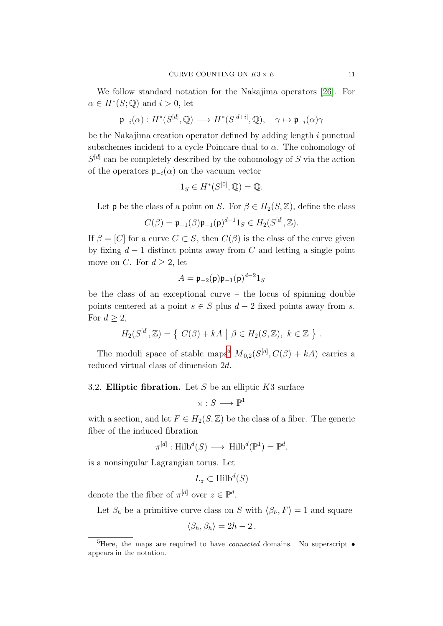We follow standard notation for the Nakajima operators [\[26\]](#page-35-11). For  $\alpha \in H^*(S; \mathbb{Q})$  and  $i > 0$ , let

$$
\mathfrak{p}_{-i}(\alpha) : H^*(S^{[d]},{\mathbb Q}) \longrightarrow H^*(S^{[d+i]},{\mathbb Q}), \quad \gamma \mapsto \mathfrak{p}_{-i}(\alpha)\gamma
$$

be the Nakajima creation operator defined by adding length i punctual subschemes incident to a cycle Poincare dual to  $\alpha$ . The cohomology of  $S<sup>[d]</sup>$  can be completely described by the cohomology of S via the action of the operators  $\mathfrak{p}_{-i}(\alpha)$  on the vacuum vector

$$
1_S \in H^*(S^{[0]}, \mathbb{Q}) = \mathbb{Q}.
$$

Let **p** be the class of a point on S. For  $\beta \in H_2(S, \mathbb{Z})$ , define the class

$$
C(\beta) = \mathfrak{p}_{-1}(\beta)\mathfrak{p}_{-1}(\mathfrak{p})^{d-1}1_S \in H_2(S^{[d]},{\mathbb{Z}}).
$$

If  $\beta = [C]$  for a curve  $C \subset S$ , then  $C(\beta)$  is the class of the curve given by fixing  $d-1$  distinct points away from C and letting a single point move on C. For  $d \geq 2$ , let

$$
A=\mathfrak{p}_{-2}(\mathsf{p})\mathfrak{p}_{-1}(\mathsf{p})^{d-2}1_S
$$

be the class of an exceptional curve – the locus of spinning double points centered at a point  $s \in S$  plus  $d-2$  fixed points away from s. For  $d \geq 2$ ,

$$
H_2(S^{[d]},{\mathbb{Z}}) = \{ C(\beta) + kA \mid \beta \in H_2(S,{\mathbb{Z}}), k \in {\mathbb{Z}} \} .
$$

<span id="page-10-1"></span>The moduli space of stable maps<sup>[5](#page-10-0)</sup>  $\overline{M}_{0,2}(S^{[d]}, C(\beta) + kA)$  carries a reduced virtual class of dimension 2d.

### 3.2. **Elliptic fibration.** Let S be an elliptic  $K3$  surface

$$
\pi : S \longrightarrow \mathbb{P}^1
$$

with a section, and let  $F \in H_2(S, \mathbb{Z})$  be the class of a fiber. The generic fiber of the induced fibration

$$
\pi^{[d]} : \operatorname{Hilb}^d(S) \longrightarrow \operatorname{Hilb}^d(\mathbb{P}^1) = \mathbb{P}^d,
$$

is a nonsingular Lagrangian torus. Let

$$
L_z \subset \text{Hilb}^d(S)
$$

denote the the fiber of  $\pi^{[d]}$  over  $z \in \mathbb{P}^d$ .

Let  $\beta_h$  be a primitive curve class on S with  $\langle \beta_h, F \rangle = 1$  and square

$$
\langle \beta_h, \beta_h \rangle = 2h - 2.
$$

<span id="page-10-0"></span><sup>5</sup>Here, the maps are required to have *connected* domains. No superscript • appears in the notation.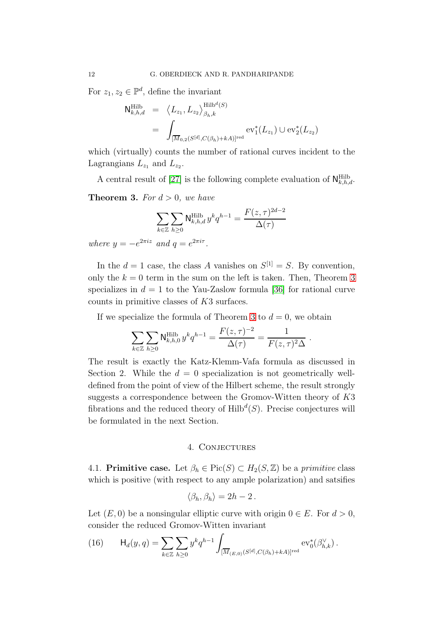For  $z_1, z_2 \in \mathbb{P}^d$ , define the invariant

$$
N_{k,h,d}^{\text{Hilb}} = \langle L_{z_1}, L_{z_2} \rangle_{\beta_h,k}^{\text{Hilb}^d(S)}
$$
  
= 
$$
\int_{[\overline{M}_{0,2}(S^{[d]}, C(\beta_h) + kA)]^{\text{red}}} \text{ev}_1^*(L_{z_1}) \cup \text{ev}_2^*(L_{z_2})
$$

which (virtually) counts the number of rational curves incident to the Lagrangians  $L_{z_1}$  and  $L_{z_2}$ .

A central result of [\[27\]](#page-35-7) is the following complete evaluation of  $N_{k,h,d}^{\text{Hilb}}$ .

<span id="page-11-1"></span>**Theorem 3.** For  $d > 0$ , we have

$$
\sum_{k\in\mathbb{Z}}\sum_{h\geq 0}\mathsf{N}^{\mathrm{Hilb}}_{k,h,d}\,y^k q^{h-1}=\frac{F(z,\tau)^{2d-2}}{\Delta(\tau)}
$$
 where  $y=-e^{2\pi iz}$  and  $q=e^{2\pi i\tau}$ .

In the  $d = 1$  case, the class A vanishes on  $S^{[1]} = S$ . By convention, only the  $k = 0$  term in the sum on the left is taken. Then, Theorem [3](#page-11-1) specializes in  $d = 1$  to the Yau-Zaslow formula [\[36\]](#page-36-2) for rational curve counts in primitive classes of K3 surfaces.

If we specialize the formula of Theorem [3](#page-11-1) to  $d = 0$ , we obtain

$$
\sum_{k \in \mathbb{Z}} \sum_{h \ge 0} \mathsf{N}^{\text{Hilb}}_{k,h,0} y^k q^{h-1} = \frac{F(z,\tau)^{-2}}{\Delta(\tau)} = \frac{1}{F(z,\tau)^2 \Delta}.
$$

The result is exactly the Katz-Klemm-Vafa formula as discussed in Section 2. While the  $d = 0$  specialization is not geometrically welldefined from the point of view of the Hilbert scheme, the result strongly suggests a correspondence between the Gromov-Witten theory of K3 fibrations and the reduced theory of  $\mathrm{Hilb}^d(S)$ . Precise conjectures will be formulated in the next Section.

### 4. Conjectures

<span id="page-11-0"></span>4.1. Primitive case. Let  $\beta_h \in Pic(S) \subset H_2(S, \mathbb{Z})$  be a primitive class which is positive (with respect to any ample polarization) and satsifies

$$
\langle \beta_h, \beta_h \rangle = 2h - 2.
$$

Let  $(E, 0)$  be a nonsingular elliptic curve with origin  $0 \in E$ . For  $d > 0$ , consider the reduced Gromov-Witten invariant

<span id="page-11-2"></span>(16) 
$$
\mathsf{H}_d(y,q) = \sum_{k \in \mathbb{Z}} \sum_{h \geq 0} y^k q^{h-1} \int_{[\overline{M}_{(E,0)}(S^{[d]}, C(\beta_h) + kA)]^{\text{red}}} \text{ev}_0^*(\beta_{h,k}^{\vee}).
$$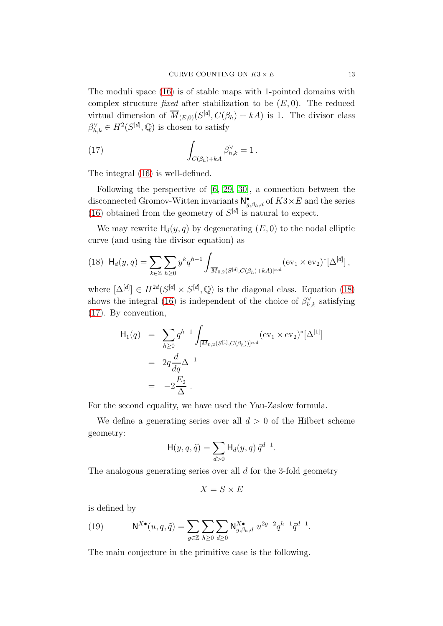The moduli space [\(16\)](#page-11-2) is of stable maps with 1-pointed domains with complex structure *fixed* after stabilization to be  $(E, 0)$ . The reduced virtual dimension of  $\overline{M}_{(E,0)}(S^{[d]}, C(\beta_h) + kA)$  is 1. The divisor class  $\beta_{h,k}^{\vee} \in H^2(S^{[d]},{\mathbb Q})$  is chosen to satisfy

<span id="page-12-1"></span>(17) 
$$
\int_{C(\beta_h)+kA} \beta_{h,k}^{\vee} = 1.
$$

The integral [\(16\)](#page-11-2) is well-defined.

Following the perspective of [\[6,](#page-34-1) [29,](#page-35-5) [30\]](#page-35-6), a connection between the disconnected Gromov-Witten invariants  $\mathsf{N}^\bullet_{g,\beta_h,d}$  of  $K3\times E$  and the series [\(16\)](#page-11-2) obtained from the geometry of  $S<sup>[d]</sup>$  is natural to expect.

We may rewrite  $H_d(y, q)$  by degenerating  $(E, 0)$  to the nodal elliptic curve (and using the divisor equation) as

<span id="page-12-0"></span>
$$
(18)\ \ \mathsf{H}_{d}(y,q) = \sum_{k \in \mathbb{Z}} \sum_{h \geq 0} y^k q^{h-1} \int_{[\overline{M}_{0,2}(S^{[d]}, C(\beta_h) + kA)]^{\text{red}}} (\text{ev}_1 \times \text{ev}_2)^* [\Delta^{[d]}],
$$

where  $[\Delta^{[d]}] \in H^{2d}(S^{[d]} \times S^{[d]}, \mathbb{Q})$  is the diagonal class. Equation [\(18\)](#page-12-0) shows the integral [\(16\)](#page-11-2) is independent of the choice of  $\beta_{h,k}^{\vee}$  satisfying [\(17\)](#page-12-1). By convention,

$$
H_1(q) = \sum_{h \ge 0} q^{h-1} \int_{\overline{[M}_{0,2}(S^{[1]}, C(\beta_h))]^{\text{red}}} (\text{ev}_1 \times \text{ev}_2)^* [\Delta^{[1]}]
$$
  
=  $2q \frac{d}{dq} \Delta^{-1}$   
=  $-2 \frac{E_2}{\Delta}$ .

For the second equality, we have used the Yau-Zaslow formula.

We define a generating series over all  $d > 0$  of the Hilbert scheme geometry:

$$
\mathsf{H}(y,q,\tilde{q}) = \sum_{d>0} \mathsf{H}_d(y,q) \,\tilde{q}^{d-1}.
$$

The analogous generating series over all d for the 3-fold geometry

$$
X=S\times E
$$

is defined by

<span id="page-12-2"></span>(19) 
$$
\mathsf{N}^{X\bullet}(u, q, \tilde{q}) = \sum_{g \in \mathbb{Z}} \sum_{h \geq 0} \sum_{d \geq 0} \mathsf{N}^{X\bullet}_{g, \beta_h, d} u^{2g-2} q^{h-1} \tilde{q}^{d-1}.
$$

The main conjecture in the primitive case is the following.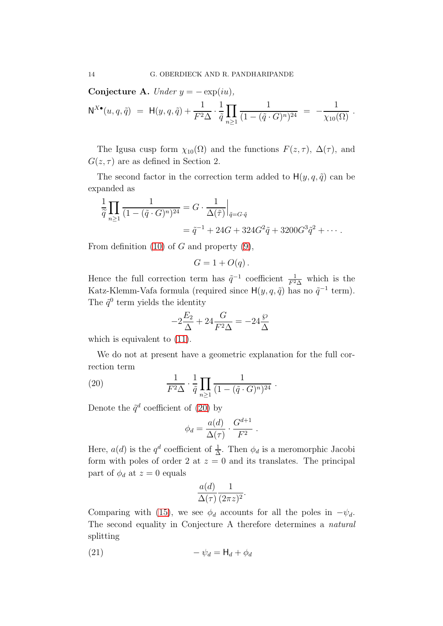Conjecture A. Under  $y = -\exp(iu)$ ,

$$
\mathsf{N}^{X\bullet}(u,q,\tilde{q}) = \mathsf{H}(y,q,\tilde{q}) + \frac{1}{F^2\Delta} \cdot \frac{1}{\tilde{q}} \prod_{n \geq 1} \frac{1}{(1 - (\tilde{q} \cdot G)^n)^{24}} = -\frac{1}{\chi_{10}(\Omega)}.
$$

The Igusa cusp form  $\chi_{10}(\Omega)$  and the functions  $F(z, \tau)$ ,  $\Delta(\tau)$ , and  $G(z, \tau)$  are as defined in Section 2.

The second factor in the correction term added to  $H(y, q, \tilde{q})$  can be expanded as

$$
\frac{1}{\tilde{q}} \prod_{n \ge 1} \frac{1}{(1 - (\tilde{q} \cdot G)^n)^{24}} = G \cdot \frac{1}{\Delta(\tilde{\tau})} \Big|_{\tilde{q} = G \cdot \tilde{q}}
$$
  
=  $\tilde{q}^{-1} + 24G + 324G^2 \tilde{q} + 3200G^3 \tilde{q}^2 + \cdots$ 

From definition  $(10)$  of G and property  $(9)$ ,

$$
G = 1 + O(q).
$$

Hence the full correction term has  $\tilde{q}^{-1}$  coefficient  $\frac{1}{F^2\Delta}$  which is the Katz-Klemm-Vafa formula (required since  $H(y, q, \tilde{q})$  has no  $\tilde{q}^{-1}$  term). The  $\tilde{q}^0$  term yields the identity

$$
-2\frac{E_2}{\Delta} + 24\frac{G}{F^2\Delta} = -24\frac{\wp}{\Delta}
$$

which is equivalent to  $(11)$ .

We do not at present have a geometric explanation for the full correction term

(20) 
$$
\frac{1}{F^2 \Delta} \cdot \frac{1}{\tilde{q}} \prod_{n \geq 1} \frac{1}{(1 - (\tilde{q} \cdot G)^n)^{24}}.
$$

Denote the  $\tilde{q}^d$  coefficient of [\(20\)](#page-13-0) by

<span id="page-13-0"></span>
$$
\phi_d = \frac{a(d)}{\Delta(\tau)} \cdot \frac{G^{d+1}}{F^2} \ .
$$

Here,  $a(d)$  is the  $q^d$  coefficient of  $\frac{1}{\Delta}$ . Then  $\phi_d$  is a meromorphic Jacobi form with poles of order 2 at  $z = 0$  and its translates. The principal part of  $\phi_d$  at  $z=0$  equals

$$
\frac{a(d)}{\Delta(\tau)} \frac{1}{(2\pi z)^2}.
$$

Comparing with [\(15\)](#page-9-1), we see  $\phi_d$  accounts for all the poles in  $-\psi_d$ . The second equality in Conjecture A therefore determines a natural splitting

$$
(21) \qquad \qquad -\psi_d = \mathsf{H}_d + \phi_d
$$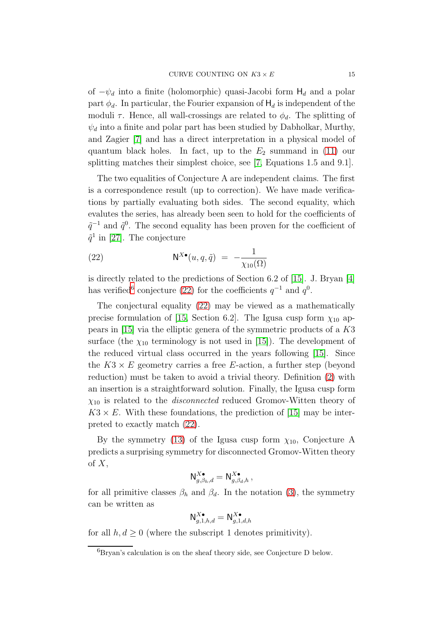of  $-\psi_d$  into a finite (holomorphic) quasi-Jacobi form  $H_d$  and a polar part  $\phi_d$ . In particular, the Fourier expansion of  $H_d$  is independent of the moduli  $\tau$ . Hence, all wall-crossings are related to  $\phi_d$ . The splitting of  $\psi_d$  into a finite and polar part has been studied by Dabholkar, Murthy, and Zagier [\[7\]](#page-34-4) and has a direct interpretation in a physical model of quantum black holes. In fact, up to the  $E_2$  summand in [\(11\)](#page-7-3) our splitting matches their simplest choice, see [\[7,](#page-34-4) Equations 1.5 and 9.1].

The two equalities of Conjecture A are independent claims. The first is a correspondence result (up to correction). We have made verifications by partially evaluating both sides. The second equality, which evalutes the series, has already been seen to hold for the coefficients of  $\tilde{q}^{-1}$  and  $\tilde{q}^{0}$ . The second equality has been proven for the coefficient of  $\tilde{q}^1$  in [\[27\]](#page-35-7). The conjecture

<span id="page-14-1"></span>(22) 
$$
\mathsf{N}^{X\bullet}(u,q,\tilde{q}) = -\frac{1}{\chi_{10}(\Omega)}
$$

is directly related to the predictions of Section 6.2 of [\[15\]](#page-35-1). J. Bryan [\[4\]](#page-34-5) has verified<sup>[6](#page-14-0)</sup> conjecture [\(22\)](#page-14-1) for the coefficients  $q^{-1}$  and  $q^{0}$ .

The conjectural equality [\(22\)](#page-14-1) may be viewed as a mathematically precise formulation of [\[15,](#page-35-1) Section 6.2]. The Igusa cusp form  $\chi_{10}$  appears in [\[15\]](#page-35-1) via the elliptic genera of the symmetric products of a K3 surface (the  $\chi_{10}$  terminology is not used in [\[15\]](#page-35-1)). The development of the reduced virtual class occurred in the years following [\[15\]](#page-35-1). Since the  $K3 \times E$  geometry carries a free E-action, a further step (beyond reduction) must be taken to avoid a trivial theory. Definition [\(2\)](#page-1-3) with an insertion is a straightforward solution. Finally, the Igusa cusp form  $\chi_{10}$  is related to the *disconnected* reduced Gromov-Witten theory of  $K3 \times E$ . With these foundations, the prediction of [\[15\]](#page-35-1) may be interpreted to exactly match [\(22\)](#page-14-1).

By the symmetry [\(13\)](#page-8-2) of the Igusa cusp form  $\chi_{10}$ , Conjecture A predicts a surprising symmetry for disconnected Gromov-Witten theory of  $X$ ,

$$
\mathsf{N}^{X\bullet}_{g,\beta_h,d}=\mathsf{N}^{X\bullet}_{g,\beta_d,h}\,,
$$

for all primitive classes  $\beta_h$  and  $\beta_d$ . In the notation [\(3\)](#page-2-2), the symmetry can be written as

$$
\mathsf{N}^{X\bullet}_{g,1,h,d}=\mathsf{N}^{X\bullet}_{g,1,d,h}
$$

for all  $h, d \geq 0$  (where the subscript 1 denotes primitivity).

<span id="page-14-0"></span> ${}^{6}$ Bryan's calculation is on the sheaf theory side, see Conjecture D below.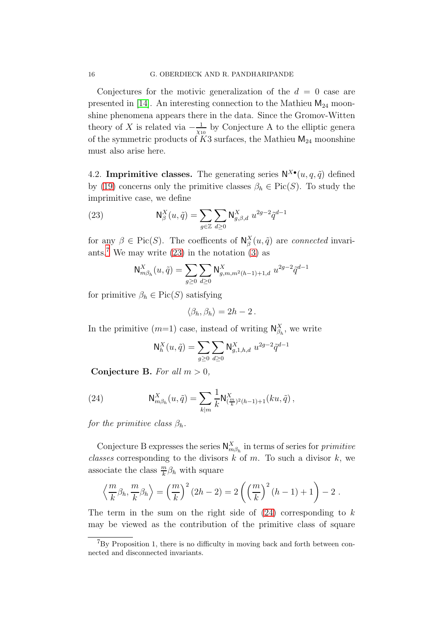Conjectures for the motivic generalization of the  $d = 0$  case are presented in [\[14\]](#page-35-8). An interesting connection to the Mathieu  $M_{24}$  moonshine phenomena appears there in the data. Since the Gromov-Witten theory of X is related via  $-\frac{1}{\sqrt{1}}$  $\frac{1}{\chi_{10}}$  by Conjecture A to the elliptic genera of the symmetric products of  $K3$  surfaces, the Mathieu  $M_{24}$  moonshine must also arise here.

4.2. Imprimitive classes. The generating series  $N^{X\bullet}(u, q, \tilde{q})$  defined by [\(19\)](#page-12-2) concerns only the primitive classes  $\beta_h \in Pic(S)$ . To study the imprimitive case, we define

(23) 
$$
\mathsf{N}_{\beta}^{X}(u,\tilde{q}) = \sum_{g \in \mathbb{Z}} \sum_{d \geq 0} \mathsf{N}_{g,\beta,d}^{X} u^{2g-2} \tilde{q}^{d-1}
$$

for any  $\beta \in Pic(S)$ . The coefficents of  $\mathsf{N}_{\beta}^X(u, \tilde{q})$  are *connected* invari-ants.<sup>[7](#page-15-0)</sup> We may write  $(23)$  in the notation  $(3)$  as

<span id="page-15-1"></span>
$$
\mathsf{N}^X_{m\beta_h}(u, \tilde{q}) = \sum_{g \geq 0} \sum_{d \geq 0} \mathsf{N}^X_{g,m,m^2(h-1)+1,d} \ u^{2g-2} \tilde{q}^{d-1}
$$

for primitive  $\beta_h \in Pic(S)$  satisfying

$$
\langle \beta_h, \beta_h \rangle = 2h - 2.
$$

In the primitive  $(m=1)$  case, instead of writing  $\mathsf{N}_{\beta_h}^X$ , we write

<span id="page-15-2"></span>
$$
N_h^X(u, \tilde{q}) = \sum_{g \ge 0} \sum_{d \ge 0} N_{g,1,h,d}^X u^{2g-2} \tilde{q}^{d-1}
$$

Conjecture B. For all  $m > 0$ ,

(24) 
$$
\mathsf{N}_{m\beta_h}^X(u, \tilde{q}) = \sum_{k|m} \frac{1}{k} \mathsf{N}_{(\frac{m}{k})^2(h-1)+1}^X(ku, \tilde{q}),
$$

for the primitive class  $\beta_h$ .

Conjecture B expresses the series  $\mathsf{N}_{m\beta_h}^X$  in terms of series for *primitive* classes corresponding to the divisors  $k$  of  $m$ . To such a divisor  $k$ , we associate the class  $\frac{m}{k}\beta_h$  with square

$$
\left\langle \frac{m}{k} \beta_h, \frac{m}{k} \beta_h \right\rangle = \left(\frac{m}{k}\right)^2 (2h - 2) = 2 \left( \left(\frac{m}{k}\right)^2 (h - 1) + 1 \right) - 2.
$$

The term in the sum on the right side of  $(24)$  corresponding to k may be viewed as the contribution of the primitive class of square

<span id="page-15-0"></span> ${}^{7}$ By Proposition 1, there is no difficulty in moving back and forth between connected and disconnected invariants.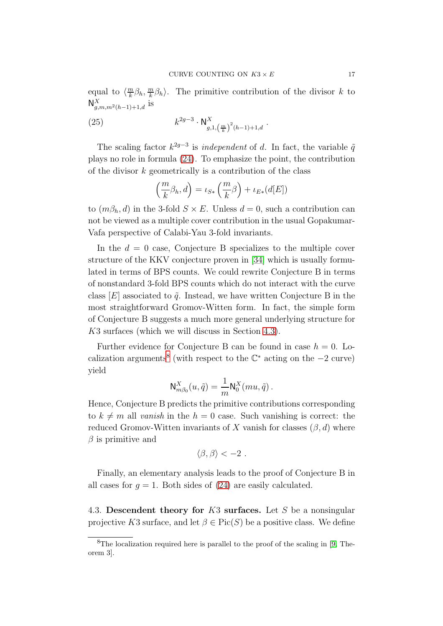equal to  $\left\langle \frac{m}{k} \right\rangle$  $\frac{m}{k}\beta_h, \frac{m}{k}$  $\frac{m}{k}\beta_h$ ). The primitive contribution of the divisor k to  $N_{g,m,m^2(h-1)+1,d}^X$  is

(25) 
$$
k^{2g-3} \cdot \mathsf{N}^{X}_{g,1,\left(\frac{m}{k}\right)^2(h-1)+1,d}.
$$

The scaling factor  $k^{2g-3}$  is *independent* of d. In fact, the variable  $\tilde{q}$ plays no role in formula [\(24\)](#page-15-2). To emphasize the point, the contribution of the divisor  $k$  geometrically is a contribution of the class

$$
\left(\frac{m}{k}\beta_h, d\right) = \iota_{S*}\left(\frac{m}{k}\beta\right) + \iota_{E*}(d[E])
$$

to  $(m\beta_h, d)$  in the 3-fold  $S \times E$ . Unless  $d = 0$ , such a contribution can not be viewed as a multiple cover contribution in the usual Gopakumar-Vafa perspective of Calabi-Yau 3-fold invariants.

In the  $d = 0$  case, Conjecture B specializes to the multiple cover structure of the KKV conjecture proven in [\[34\]](#page-36-1) which is usually formulated in terms of BPS counts. We could rewrite Conjecture B in terms of nonstandard 3-fold BPS counts which do not interact with the curve class  $|E|$  associated to  $\tilde{q}$ . Instead, we have written Conjecture B in the most straightforward Gromov-Witten form. In fact, the simple form of Conjecture B suggests a much more general underlying structure for K3 surfaces (which we will discuss in Section [4.3\)](#page-16-0).

Further evidence for Conjecture B can be found in case  $h = 0$ . Lo-calization arguments<sup>[8](#page-16-1)</sup> (with respect to the  $\mathbb{C}^*$  acting on the  $-2$  curve) yield

$$
\mathsf{N}_{m\beta_0}^X(u,\tilde{q})=\frac{1}{m}\mathsf{N}_{0}^X(mu,\tilde{q})\,.
$$

Hence, Conjecture B predicts the primitive contributions corresponding to  $k \neq m$  all vanish in the  $h = 0$  case. Such vanishing is correct: the reduced Gromov-Witten invariants of X vanish for classes  $(\beta, d)$  where  $\beta$  is primitive and

$$
\langle \beta, \beta \rangle < -2.
$$

Finally, an elementary analysis leads to the proof of Conjecture B in all cases for  $q = 1$ . Both sides of [\(24\)](#page-15-2) are easily calculated.

<span id="page-16-0"></span>4.3. Descendent theory for K3 surfaces. Let S be a nonsingular projective K3 surface, and let  $\beta \in Pic(S)$  be a positive class. We define

<span id="page-16-1"></span><sup>8</sup>The localization required here is parallel to the proof of the scaling in [\[9,](#page-34-6) Theorem 3].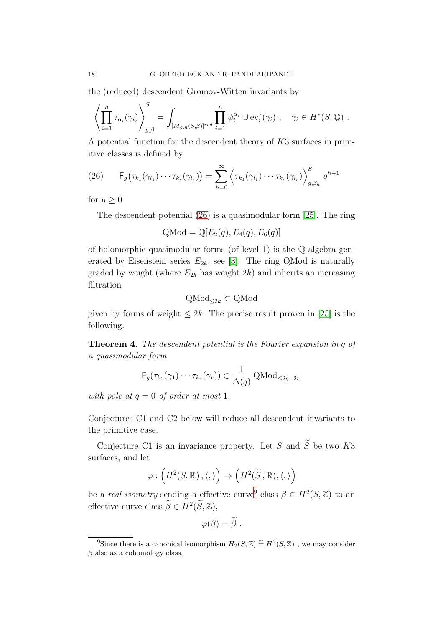the (reduced) descendent Gromov-Witten invariants by

$$
\left\langle \prod_{i=1}^n \tau_{\alpha_i}(\gamma_i) \right\rangle_{g,\beta}^S = \int_{[\overline{M}_{g,n}(S,\beta)]^{red}} \prod_{i=1}^n \psi_i^{\alpha_i} \cup \text{ev}_i^*(\gamma_i) , \quad \gamma_i \in H^*(S,\mathbb{Q}) .
$$

A potential function for the descendent theory of K3 surfaces in primitive classes is defined by

<span id="page-17-0"></span>(26) 
$$
\mathsf{F}_g\big(\tau_{k_1}(\gamma_{l_1})\cdots\tau_{k_r}(\gamma_{l_r})\big)=\sum_{h=0}^{\infty}\left\langle\tau_{k_1}(\gamma_{l_1})\cdots\tau_{k_r}(\gamma_{l_r})\right\rangle_{g,\beta_h}^S q^{h-1}
$$

for  $q \geq 0$ .

The descendent potential [\(26\)](#page-17-0) is a quasimodular form [\[25\]](#page-35-2). The ring

$$
Q\text{Mod} = \mathbb{Q}[E_2(q), E_4(q), E_6(q)]
$$

of holomorphic quasimodular forms (of level 1) is the Q-algebra generated by Eisenstein series  $E_{2k}$ , see [\[3\]](#page-34-7). The ring QMod is naturally graded by weight (where  $E_{2k}$  has weight  $2k$ ) and inherits an increasing filtration

$$
\mathrm{QMod}_{\leq 2k} \subset \mathrm{QMod}
$$

given by forms of weight  $\leq 2k$ . The precise result proven in [\[25\]](#page-35-2) is the following.

Theorem 4. The descendent potential is the Fourier expansion in q of a quasimodular form

$$
\mathsf{F}_g(\tau_{k_1}(\gamma_1)\cdots\tau_{k_r}(\gamma_r))\in\frac{1}{\Delta(q)}\,\mathrm{QMod}_{\leq 2g+2r}
$$

with pole at  $q = 0$  of order at most 1.

Conjectures C1 and C2 below will reduce all descendent invariants to the primitive case.

Conjecture C1 is an invariance property. Let S and  $\widetilde{S}$  be two K3 surfaces, and let

$$
\varphi:\left(H^2(S,\mathbb{R})\,,\langle,\rangle\right)\to\left(H^2(\widetilde{S}\,,\mathbb{R}),\langle,\rangle\right)
$$

be a *real isometry* sending a effective curve<sup>[9](#page-17-1)</sup> class  $\beta \in H^2(S, \mathbb{Z})$  to an effective curve class  $\beta \in H^2(S, \mathbb{Z}),$ 

$$
\varphi(\beta)=\widetilde{\beta}.
$$

<span id="page-17-1"></span><sup>&</sup>lt;sup>9</sup>Since there is a canonical isomorphism  $H_2(S, \mathbb{Z}) \cong H^2(S, \mathbb{Z})$ , we may consider  $\beta$  also as a cohomology class.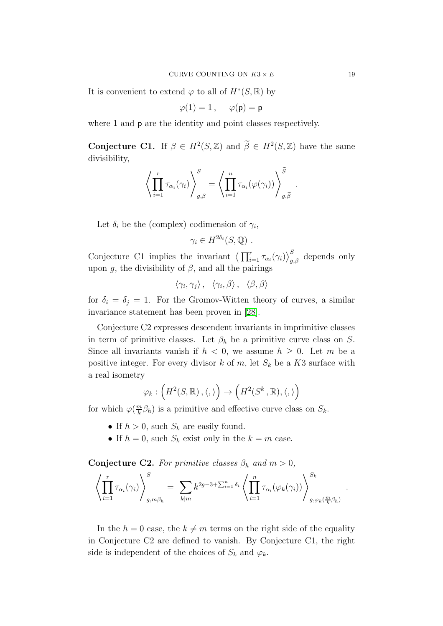It is convenient to extend  $\varphi$  to all of  $H^*(S, \mathbb{R})$  by

$$
\varphi(1)=1\,,\quad \ \varphi(\mathsf{p})=\mathsf{p}
$$

where 1 and **p** are the identity and point classes respectively.

**Conjecture C1.** If  $\beta \in H^2(S, \mathbb{Z})$  and  $\beta \in H^2(S, \mathbb{Z})$  have the same divisibility,

$$
\left\langle \prod_{i=1}^r \tau_{\alpha_i}(\gamma_i) \right\rangle_{g,\beta}^S = \left\langle \prod_{i=1}^n \tau_{\alpha_i}(\varphi(\gamma_i)) \right\rangle_{g,\widetilde{\beta}}^S.
$$

Let  $\delta_i$  be the (complex) codimension of  $\gamma_i$ ,

 $\gamma_i \in H^{2\delta_i}(S,\mathbb{Q})$ .

Conjecture C1 implies the invariant  $\left\langle \prod_{i=1}^r \tau_{\alpha_i}(\gamma_i) \right\rangle_{g,\beta}^S$  depends only upon q, the divisibility of  $\beta$ , and all the pairings

$$
\langle \gamma_i, \gamma_j \rangle, \quad \langle \gamma_i, \beta \rangle, \quad \langle \beta, \beta \rangle
$$

for  $\delta_i = \delta_j = 1$ . For the Gromov-Witten theory of curves, a similar invariance statement has been proven in [\[28\]](#page-35-12).

Conjecture C2 expresses descendent invariants in imprimitive classes in term of primitive classes. Let  $\beta_h$  be a primitive curve class on S. Since all invariants vanish if  $h < 0$ , we assume  $h \geq 0$ . Let m be a positive integer. For every divisor k of m, let  $S_k$  be a K3 surface with a real isometry

$$
\varphi_k : \left( H^2(S, \mathbb{R}) \, , \langle , \rangle \right) \to \left( H^2(S^k \, , \mathbb{R}) , \langle , \rangle \right)
$$

for which  $\varphi(\frac{m}{k})$  $\frac{m}{k}\beta_h$ ) is a primitive and effective curve class on  $S_k$ .

- If  $h > 0$ , such  $S_k$  are easily found.
- If  $h = 0$ , such  $S_k$  exist only in the  $k = m$  case.

**Conjecture C2.** For primitive classes  $\beta_h$  and  $m > 0$ ,

$$
\left\langle \prod_{i=1}^r \tau_{\alpha_i}(\gamma_i) \right\rangle_{g,m\beta_h}^S = \sum_{k|m} k^{2g-3+\sum_{i=1}^n \delta_i} \left\langle \prod_{i=1}^n \tau_{\alpha_i}(\varphi_k(\gamma_i)) \right\rangle_{g,\varphi_k(\frac{m}{k}\beta_h)}^{S_k}
$$

In the  $h = 0$  case, the  $k \neq m$  terms on the right side of the equality in Conjecture C2 are defined to vanish. By Conjecture C1, the right side is independent of the choices of  $S_k$  and  $\varphi_k$ .

.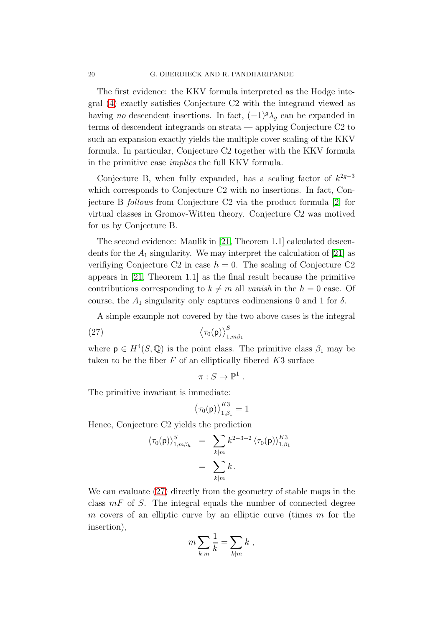The first evidence: the KKV formula interpreted as the Hodge integral [\(4\)](#page-2-1) exactly satisfies Conjecture C2 with the integrand viewed as having no descendent insertions. In fact,  $(-1)^{g} \lambda_{g}$  can be expanded in terms of descendent integrands on strata — applying Conjecture C2 to such an expansion exactly yields the multiple cover scaling of the KKV formula. In particular, Conjecture C2 together with the KKV formula in the primitive case implies the full KKV formula.

Conjecture B, when fully expanded, has a scaling factor of  $k^{2g-3}$ which corresponds to Conjecture C2 with no insertions. In fact, Conjecture B follows from Conjecture C2 via the product formula [\[2\]](#page-34-8) for virtual classes in Gromov-Witten theory. Conjecture C2 was motived for us by Conjecture B.

The second evidence: Maulik in [\[21,](#page-35-13) Theorem 1.1] calculated descendents for the  $A_1$  singularity. We may interpret the calculation of [\[21\]](#page-35-13) as verifiying Conjecture C2 in case  $h = 0$ . The scaling of Conjecture C2 appears in [\[21,](#page-35-13) Theorem 1.1] as the final result because the primitive contributions corresponding to  $k \neq m$  all vanish in the  $h = 0$  case. Of course, the  $A_1$  singularity only captures codimensions 0 and 1 for  $\delta$ .

A simple example not covered by the two above cases is the integral

$$
(27) \t\t \left\langle \tau_0(\mathbf{p}) \right\rangle_{1,m\beta_1}^S
$$

where  $p \in H^4(S, \mathbb{Q})$  is the point class. The primitive class  $\beta_1$  may be taken to be the fiber  $F$  of an elliptically fibered  $K3$  surface

<span id="page-19-0"></span>
$$
\pi: S \to \mathbb{P}^1 .
$$

The primitive invariant is immediate:

$$
\left\langle \tau_0(\mathsf{p}) \right\rangle_{1,\beta_1}^{K3} = 1
$$

Hence, Conjecture C2 yields the prediction

$$
\langle \tau_0(\mathsf{p}) \rangle_{1,m\beta_h}^S = \sum_{k|m} k^{2-3+2} \langle \tau_0(\mathsf{p}) \rangle_{1,\beta_1}^{K3}
$$
  
= 
$$
\sum_{k|m} k.
$$

We can evaluate [\(27\)](#page-19-0) directly from the geometry of stable maps in the class  $mF$  of S. The integral equals the number of connected degree m covers of an elliptic curve by an elliptic curve (times  $m$  for the insertion),

$$
m\sum_{k|m}\frac{1}{k}=\sum_{k|m}k,
$$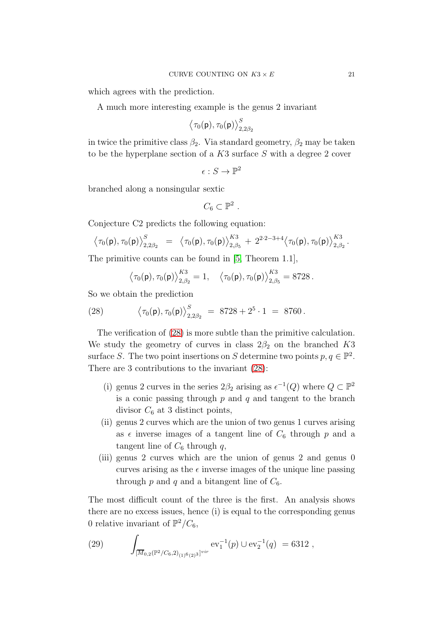which agrees with the prediction.

A much more interesting example is the genus 2 invariant

$$
\left\langle \tau_0(\mathsf{p}),\tau_0(\mathsf{p}) \right\rangle_{2,2\beta_2}^S
$$

in twice the primitive class  $\beta_2$ . Via standard geometry,  $\beta_2$  may be taken to be the hyperplane section of a  $K3$  surface S with a degree 2 cover

$$
\epsilon: S \to \mathbb{P}^2
$$

branched along a nonsingular sextic

$$
C_6\subset\mathbb{P}^2.
$$

Conjecture C2 predicts the following equation:

$$
\left\langle \tau_0(\mathsf{p}), \tau_0(\mathsf{p}) \right\rangle_{2,2\beta_2}^S \;\; = \;\; \left\langle \tau_0(\mathsf{p}), \tau_0(\mathsf{p}) \right\rangle_{2,\beta_5}^{K3} \; + \; 2^{2 \cdot 2 - 3 + 4} \left\langle \tau_0(\mathsf{p}), \tau_0(\mathsf{p}) \right\rangle_{2,\beta_2}^{K3}.
$$

The primitive counts can be found in [\[5,](#page-34-9) Theorem 1.1],

<span id="page-20-0"></span>
$$
\langle \tau_0(\mathsf{p}), \tau_0(\mathsf{p}) \rangle_{2,\beta_2}^{K3} = 1, \quad \langle \tau_0(\mathsf{p}), \tau_0(\mathsf{p}) \rangle_{2,\beta_5}^{K3} = 8728.
$$

So we obtain the prediction

(28) 
$$
\langle \tau_0(\mathbf{p}), \tau_0(\mathbf{p}) \rangle_{2,2\beta_2}^S = 8728 + 2^5 \cdot 1 = 8760.
$$

The verification of [\(28\)](#page-20-0) is more subtle than the primitive calculation. We study the geometry of curves in class  $2\beta_2$  on the branched K3 surface S. The two point insertions on S determine two points  $p, q \in \mathbb{P}^2$ . There are 3 contributions to the invariant [\(28\)](#page-20-0):

- (i) genus 2 curves in the series  $2\beta_2$  arising as  $\epsilon^{-1}(Q)$  where  $Q \subset \mathbb{P}^2$ is a conic passing through  $p$  and  $q$  and tangent to the branch divisor  $C_6$  at 3 distinct points,
- (ii) genus 2 curves which are the union of two genus 1 curves arising as  $\epsilon$  inverse images of a tangent line of  $C_6$  through p and a tangent line of  $C_6$  through q,
- (iii) genus 2 curves which are the union of genus 2 and genus 0 curves arising as the  $\epsilon$  inverse images of the unique line passing through p and q and a bitangent line of  $C_6$ .

The most difficult count of the three is the first. An analysis shows there are no excess issues, hence (i) is equal to the corresponding genus 0 relative invariant of  $\mathbb{P}^2/C_6$ ,

<span id="page-20-1"></span>(29) 
$$
\int_{[\overline{M}_{0,2}(\mathbb{P}^2/C_6,2)_{(1)^6(2)^3}]^{vir}} \mathrm{ev}_1^{-1}(p) \cup \mathrm{ev}_2^{-1}(q) = 6312 ,
$$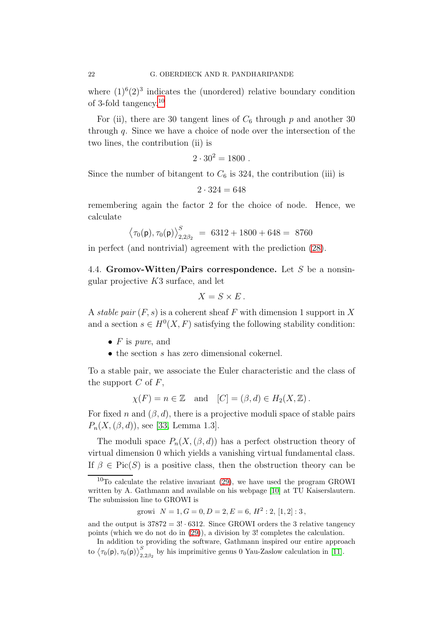where  $(1)^{6}(2)^{3}$  indicates the (unordered) relative boundary condition of 3-fold tangency.[10](#page-21-0)

For (ii), there are 30 tangent lines of  $C_6$  through p and another 30 through  $q$ . Since we have a choice of node over the intersection of the two lines, the contribution (ii) is

$$
2 \cdot 30^2 = 1800 \; .
$$

Since the number of bitangent to  $C_6$  is 324, the contribution (iii) is

 $2 \cdot 324 = 648$ 

remembering again the factor 2 for the choice of node. Hence, we calculate

$$
\langle \tau_0(\mathsf{p}), \tau_0(\mathsf{p}) \rangle_{2,2\beta_2}^S = 6312 + 1800 + 648 = 8760
$$

in perfect (and nontrivial) agreement with the prediction [\(28\)](#page-20-0).

4.4. Gromov-Witten/Pairs correspondence. Let S be a nonsingular projective  $K3$  surface, and let

$$
X = S \times E.
$$

A stable pair  $(F, s)$  is a coherent sheaf F with dimension 1 support in X and a section  $s \in H^0(X, F)$  satisfying the following stability condition:

- $F$  is pure, and
- $\bullet$  the section s has zero dimensional cokernel.

To a stable pair, we associate the Euler characteristic and the class of the support  $C$  of  $F$ ,

$$
\chi(F) = n \in \mathbb{Z}
$$
 and  $[C] = (\beta, d) \in H_2(X, \mathbb{Z})$ .

For fixed n and  $(\beta, d)$ , there is a projective moduli space of stable pairs  $P_n(X, (\beta, d))$ , see [\[33,](#page-35-4) Lemma 1.3].

The moduli space  $P_n(X, (\beta, d))$  has a perfect obstruction theory of virtual dimension 0 which yields a vanishing virtual fundamental class. If  $\beta \in Pic(S)$  is a positive class, then the obstruction theory can be

growi  $N = 1, G = 0, D = 2, E = 6, H^2 : 2, [1, 2] : 3,$ 

and the output is  $37872 = 3! \cdot 6312$ . Since GROWI orders the 3 relative tangency points (which we do not do in [\(29\)](#page-20-1)), a division by 3! completes the calculation.

In addition to providing the software, Gathmann inspired our entire approach to  $\langle \tau_0(\mathsf{p}), \tau_0(\mathsf{p}) \rangle^S_{2,2\beta_2}$  by his imprimitive genus 0 Yau-Zaslow calculation in [\[11\]](#page-35-15).

<span id="page-21-0"></span> $10$ To calculate the relative invariant [\(29\)](#page-20-1), we have used the program GROWI written by A. Gathmann and available on his webpage [\[10\]](#page-35-14) at TU Kaiserslautern. The submission line to GROWI is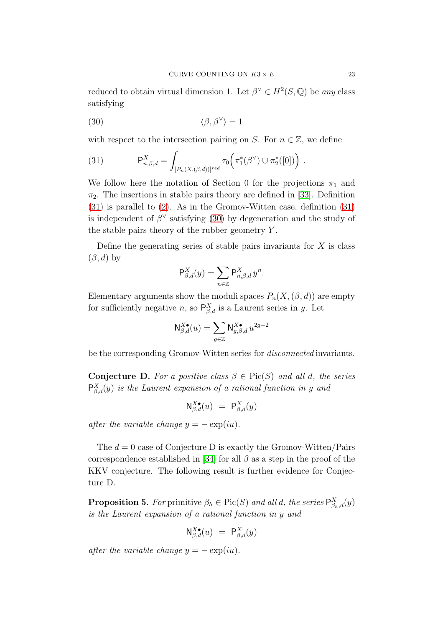reduced to obtain virtual dimension 1. Let  $\beta^{\vee} \in H^2(S, \mathbb{Q})$  be any class satisfying

<span id="page-22-1"></span>
$$
\langle 30 \rangle \qquad \qquad \langle \beta, \beta^{\vee} \rangle = 1
$$

with respect to the intersection pairing on S. For  $n \in \mathbb{Z}$ , we define

<span id="page-22-0"></span>(31) 
$$
\mathsf{P}_{n,\beta,d}^X = \int_{[P_n(X,(\beta,d))]^{red}} \tau_0\Big(\pi_1^*(\beta^{\vee}) \cup \pi_2^*([0])\Big) .
$$

We follow here the notation of Section 0 for the projections  $\pi_1$  and  $\pi_2$ . The insertions in stable pairs theory are defined in [\[33\]](#page-35-4). Definition [\(31\)](#page-22-0) is parallel to [\(2\)](#page-1-3). As in the Gromov-Witten case, definition [\(31\)](#page-22-0) is independent of  $\beta^{\vee}$  satisfying [\(30\)](#page-22-1) by degeneration and the study of the stable pairs theory of the rubber geometry Y .

Define the generating series of stable pairs invariants for  $X$  is class  $(\beta, d)$  by

$$
\mathsf{P}^X_{\beta,d}(y) = \sum_{n \in \mathbb{Z}} \mathsf{P}^X_{n,\beta,d} y^n.
$$

Elementary arguments show the moduli spaces  $P_n(X, (\beta, d))$  are empty for sufficiently negative *n*, so  $P_{\beta,d}^X$  is a Laurent series in *y*. Let

$$
\mathsf{N}^{X\bullet}_{\beta,d}(u) = \sum_{g\in\mathbb{Z}} \mathsf{N}^{X\bullet}_{g,\beta,d}\, u^{2g-2}
$$

be the corresponding Gromov-Witten series for disconnected invariants.

**Conjecture D.** For a positive class  $\beta \in Pic(S)$  and all d, the series  $P_{\beta,d}^X(y)$  is the Laurent expansion of a rational function in y and

$$
\mathsf{N}^{X\bullet}_{\beta,d}(u) \ = \ \mathsf{P}^X_{\beta,d}(y)
$$

after the variable change  $y = -\exp(iu)$ .

The  $d = 0$  case of Conjecture D is exactly the Gromov-Witten/Pairs correspondence established in [\[34\]](#page-36-1) for all  $\beta$  as a step in the proof of the KKV conjecture. The following result is further evidence for Conjecture D.

**Proposition 5.** For primitive  $\beta_h \in Pic(S)$  and all d, the series  $P_{\beta_h,d}^X(y)$ is the Laurent expansion of a rational function in y and

$$
\mathsf{N}^{X\bullet}_{\beta,d}(u) \ = \ \mathsf{P}^X_{\beta,d}(y)
$$

after the variable change  $y = -\exp(iu)$ .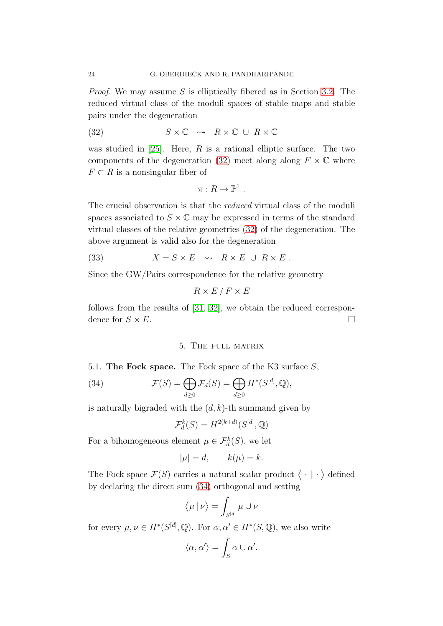Proof. We may assume S is elliptically fibered as in Section [3.2.](#page-10-1) The reduced virtual class of the moduli spaces of stable maps and stable pairs under the degeneration

(32) 
$$
S \times \mathbb{C} \rightsquigarrow R \times \mathbb{C} \cup R \times \mathbb{C}
$$

was studied in [\[25\]](#page-35-2). Here,  $R$  is a rational elliptic surface. The two components of the degeneration [\(32\)](#page-23-1) meet along along  $F \times \mathbb{C}$  where  $F \subset R$  is a nonsingular fiber of

<span id="page-23-1"></span>
$$
\pi: R \to \mathbb{P}^1.
$$

The crucial observation is that the reduced virtual class of the moduli spaces associated to  $S \times \mathbb{C}$  may be expressed in terms of the standard virtual classes of the relative geometries [\(32\)](#page-23-1) of the degeneration. The above argument is valid also for the degeneration

(33) 
$$
X = S \times E \quad \leadsto \quad R \times E \ \cup \ R \times E \ .
$$

Since the GW/Pairs correspondence for the relative geometry

$$
R \times E / F \times E
$$

<span id="page-23-0"></span>follows from the results of [\[31,](#page-35-16) [32\]](#page-35-17), we obtain the reduced correspondence for  $S \times E$ .

### <span id="page-23-2"></span>5. The full matrix

5.1. The Fock space. The Fock space of the K3 surface S,

(34) 
$$
\mathcal{F}(S) = \bigoplus_{d \geq 0} \mathcal{F}_d(S) = \bigoplus_{d \geq 0} H^*(S^{[d]},{\mathbb{Q}}),
$$

is naturally bigraded with the  $(d, k)$ -th summand given by

$$
\mathcal{F}_d^k(S) = H^{2(k+d)}(S^{[d]},{\mathbb{Q}})
$$

For a bihomogeneous element  $\mu \in \mathcal{F}_d^k(S)$ , we let

$$
|\mu| = d, \qquad k(\mu) = k.
$$

The Fock space  $\mathcal{F}(S)$  carries a natural scalar product  $\langle \cdot | \cdot \rangle$  defined by declaring the direct sum [\(34\)](#page-23-2) orthogonal and setting

$$
\left<\mu\,|\,\nu\right>=\int_{S^{[d]}}\mu\cup\nu
$$

for every  $\mu, \nu \in H^*(S^{[d]},{\mathbb Q})$ . For  $\alpha, \alpha' \in H^*(S,{\mathbb Q})$ , we also write

$$
\langle \alpha, \alpha' \rangle = \int_S \alpha \cup \alpha'.
$$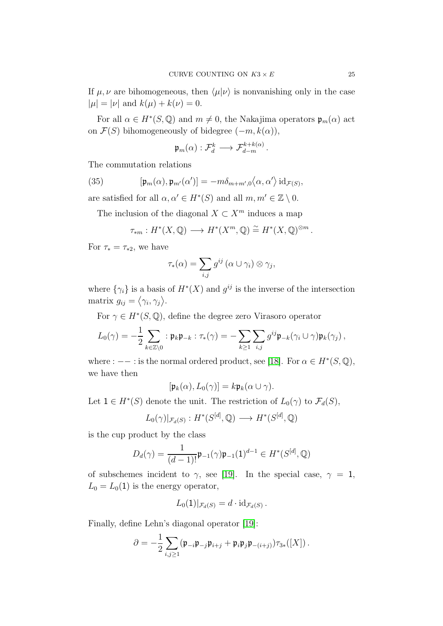If  $\mu, \nu$  are bihomogeneous, then  $\langle \mu | \nu \rangle$  is nonvanishing only in the case  $|\mu| = |\nu|$  and  $k(\mu) + k(\nu) = 0$ .

For all  $\alpha \in H^*(S, \mathbb{Q})$  and  $m \neq 0$ , the Nakajima operators  $\mathfrak{p}_m(\alpha)$  act on  $\mathcal{F}(S)$  bihomogeneously of bidegree  $(-m, k(\alpha))$ ,

<span id="page-24-0"></span>
$$
\mathfrak{p}_m(\alpha): \mathcal{F}_d^k \longrightarrow \mathcal{F}_{d-m}^{k+k(\alpha)}.
$$

The commutation relations

(35) 
$$
[\mathfrak{p}_m(\alpha), \mathfrak{p}_{m'}(\alpha')] = -m\delta_{m+m',0}\langle \alpha, \alpha' \rangle \operatorname{id}_{\mathcal{F}(S)},
$$

are satisfied for all  $\alpha, \alpha' \in H^*(S)$  and all  $m, m' \in \mathbb{Z} \setminus 0$ .

The inclusion of the diagonal  $X \subset X^m$  induces a map

$$
\tau_{*m}: H^*(X,\mathbb{Q}) \longrightarrow H^*(X^m,\mathbb{Q}) \stackrel{\sim}{=} H^*(X,\mathbb{Q})^{\otimes m}.
$$

For  $\tau_* = \tau_{*2}$ , we have

$$
\tau_*(\alpha) = \sum_{i,j} g^{ij} (\alpha \cup \gamma_i) \otimes \gamma_j,
$$

where  $\{\gamma_i\}$  is a basis of  $H^*(X)$  and  $g^{ij}$  is the inverse of the intersection matrix  $g_{ij} = \langle \gamma_i, \gamma_j \rangle$ .

For  $\gamma \in H^*(S, \mathbb{Q})$ , define the degree zero Virasoro operator

$$
L_0(\gamma) = -\frac{1}{2} \sum_{k \in \mathbb{Z} \setminus 0} : \mathfrak{p}_k \mathfrak{p}_{-k} : \tau_*(\gamma) = -\sum_{k \geq 1} \sum_{i,j} g^{ij} \mathfrak{p}_{-k}(\gamma_i \cup \gamma) \mathfrak{p}_k(\gamma_j) ,
$$

where :  $--$  : is the normal ordered product, see [\[18\]](#page-35-18). For  $\alpha \in H^*(S, \mathbb{Q})$ , we have then

$$
[\mathfrak{p}_k(\alpha), L_0(\gamma)] = k \mathfrak{p}_k(\alpha \cup \gamma).
$$

Let  $1 \in H^*(S)$  denote the unit. The restriction of  $L_0(\gamma)$  to  $\mathcal{F}_d(S)$ ,

$$
L_0(\gamma)|_{\mathcal{F}_d(S)}: H^*(S^{[d]},{\mathbb{Q}}) \longrightarrow H^*(S^{[d]},{\mathbb{Q}})
$$

is the cup product by the class

$$
D_d(\gamma) = \frac{1}{(d-1)!} \mathfrak{p}_{-1}(\gamma) \mathfrak{p}_{-1}(1)^{d-1} \in H^*(S^{[d]},{\mathbb Q})
$$

of subschemes incident to  $\gamma$ , see [\[19\]](#page-35-19). In the special case,  $\gamma = 1$ ,  $L_0 = L_0(1)$  is the energy operator,

$$
L_0(1)|_{\mathcal{F}_d(S)} = d \cdot \mathrm{id}_{\mathcal{F}_d(S)}.
$$

Finally, define Lehn's diagonal operator [\[19\]](#page-35-19):

$$
\partial = -\frac{1}{2} \sum_{i,j \geq 1} (\mathfrak{p}_{-i} \mathfrak{p}_{-j} \mathfrak{p}_{i+j} + \mathfrak{p}_i \mathfrak{p}_j \mathfrak{p}_{-(i+j)}) \tau_{3*}([X]) .
$$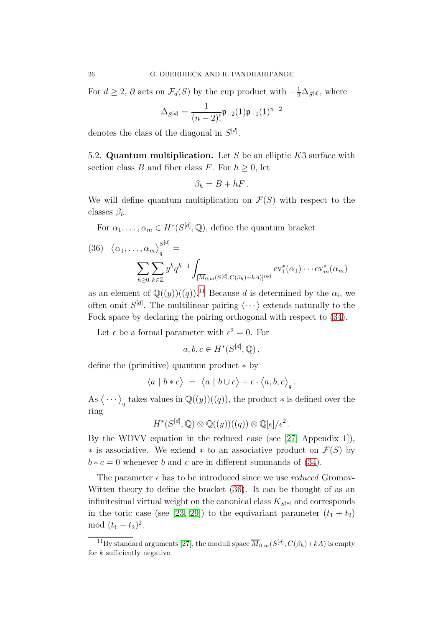For  $d \geq 2$ ,  $\partial$  acts on  $\mathcal{F}_d(S)$  by the cup product with  $-\frac{1}{2}\Delta_{S^{[d]}}$ , where

$$
\Delta_{S^{[d]}} = \frac{1}{(n-2)!} \mathfrak{p}_{-2}(1) \mathfrak{p}_{-1}(1)^{n-2}
$$

denotes the class of the diagonal in  $S^{[d]}$ .

5.2. Quantum multiplication. Let S be an elliptic  $K3$  surface with section class B and fiber class F. For  $h \geq 0$ , let

$$
\beta_h=B+hF.
$$

We will define quantum multiplication on  $\mathcal{F}(S)$  with respect to the classes  $\beta_h$ .

For  $\alpha_1, \ldots, \alpha_m \in H^*(S^{[d]}, \mathbb{Q})$ , define the quantum bracket

<span id="page-25-1"></span>(36) 
$$
\langle \alpha_1, \dots, \alpha_m \rangle_q^{S^{[d]}} =
$$
  

$$
\sum_{h \geq 0} \sum_{k \in \mathbb{Z}} y^k q^{h-1} \int_{[\overline{M}_{0,m}(S^{[d]}, C(\beta_h) + kA)]^{\text{red}}} \text{ev}_1^*(\alpha_1) \cdots \text{ev}_m^*(\alpha_m)
$$

as an element of  $\mathbb{Q}((y))((q))$ .<sup>[11](#page-25-0)</sup> Because d is determined by the  $\alpha_i$ , we often omit  $S^{[d]}$ . The multilinear pairing  $\langle \cdots \rangle$  extends naturally to the Fock space by declaring the pairing orthogonal with respect to [\(34\)](#page-23-2).

Let  $\epsilon$  be a formal parameter with  $\epsilon^2 = 0$ . For

$$
a, b, c \in H^*(S^{[d]},{\mathbb Q})\,,
$$

define the (primitive) quantum product ∗ by

$$
\langle a\ |\ b \ast c \big\rangle \ =\ \big\langle a\ |\ b\cup c \big\rangle + \epsilon\cdot \big\langle a,b,c \big\rangle_q\,.
$$

As  $\langle \cdots \rangle_q$  takes values in  $\mathbb{Q}((y))((q))$ , the product  $*$  is defined over the ring

$$
H^*(S^{[d]},{\mathbb Q})\otimes {\mathbb Q}((y))((q))\otimes {\mathbb Q}[\epsilon]/\epsilon^2.
$$

By the WDVV equation in the reduced case (see [\[27,](#page-35-7) Appendix 1]),  $\ast$  is associative. We extend  $\ast$  to an associative product on  $\mathcal{F}(S)$  by  $b * c = 0$  whenever b and c are in different summands of [\(34\)](#page-23-2).

The parameter  $\epsilon$  has to be introduced since we use *reduced* Gromov-Witten theory to define the bracket [\(36\)](#page-25-1). It can be thought of as an infinitesimal virtual weight on the canonical class  $K_{S[n]}$  and corresponds in the toric case (see [\[23,](#page-35-20) [29\]](#page-35-5)) to the equivariant parameter  $(t_1 + t_2)$ mod  $(t_1 + t_2)^2$ .

<span id="page-25-0"></span><sup>&</sup>lt;sup>11</sup>By standard arguments [\[27\]](#page-35-7), the moduli space  $\overline{M}_{0,m}(S^{[d]}, C(\beta_h) + kA)$  is empty for  $k$  sufficiently negative.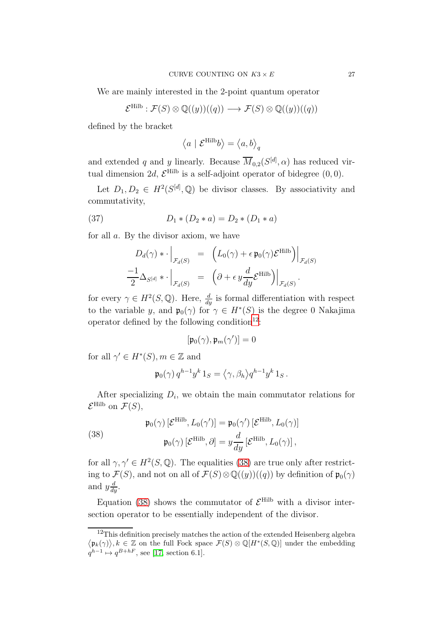We are mainly interested in the 2-point quantum operator

$$
\mathcal{E}^{\text{Hilb}} : \mathcal{F}(S) \otimes \mathbb{Q}((y))((q)) \longrightarrow \mathcal{F}(S) \otimes \mathbb{Q}((y))((q))
$$

defined by the bracket

$$
\left\langle a \, \left| \right. \mathcal{E}^{\mathrm{Hilb}}b \right\rangle = \left\langle a,b \right\rangle_q
$$

and extended q and y linearly. Because  $\overline{M}_{0,2}(S^{[d]}, \alpha)$  has reduced virtual dimension 2d,  $\mathcal{E}^{\text{Hilb}}$  is a self-adjoint operator of bidegree  $(0,0)$ .

Let  $D_1, D_2 \in H^2(S^{[d]}, \mathbb{Q})$  be divisor classes. By associativity and commutativity,

(37) 
$$
D_1 * (D_2 * a) = D_2 * (D_1 * a)
$$

for all a. By the divisor axiom, we have

$$
D_d(\gamma) * \cdot \Big|_{\mathcal{F}_d(S)} = (L_0(\gamma) + \epsilon \mathfrak{p}_0(\gamma) \mathcal{E}^{\text{Hilb}}) \Big|_{\mathcal{F}_d(S)}
$$
  

$$
\frac{-1}{2} \Delta_{S^{[d]}} * \cdot \Big|_{\mathcal{F}_d(S)} = ( \partial + \epsilon y \frac{d}{dy} \mathcal{E}^{\text{Hilb}}) \Big|_{\mathcal{F}_d(S)}.
$$

for every  $\gamma \in H^2(S, \mathbb{Q})$ . Here,  $\frac{d}{dy}$  is formal differentiation with respect to the variable y, and  $\mathfrak{p}_0(\gamma)$  for  $\gamma \in H^*(S)$  is the degree 0 Nakajima operator defined by the following condition<sup>[12](#page-26-0)</sup>:

$$
[\mathfrak{p}_0(\gamma), \mathfrak{p}_m(\gamma')] = 0
$$

for all  $\gamma' \in H^*(S)$ ,  $m \in \mathbb{Z}$  and

$$
\mathfrak{p}_0(\gamma) q^{h-1} y^k 1_S = \langle \gamma, \beta_h \rangle q^{h-1} y^k 1_S.
$$

After specializing  $D_i$ , we obtain the main commutator relations for  $\mathcal{E}^{\text{Hilb}}$  on  $\mathcal{F}(S)$ ,

<span id="page-26-1"></span>(38) 
$$
\mathfrak{p}_0(\gamma) \left[ \mathcal{E}^{\text{Hilb}}, L_0(\gamma') \right] = \mathfrak{p}_0(\gamma') \left[ \mathcal{E}^{\text{Hilb}}, L_0(\gamma) \right]
$$

$$
\mathfrak{p}_0(\gamma) \left[ \mathcal{E}^{\text{Hilb}}, \partial \right] = y \frac{d}{dy} \left[ \mathcal{E}^{\text{Hilb}}, L_0(\gamma) \right],
$$

for all  $\gamma, \gamma' \in H^2(S, \mathbb{Q})$ . The equalities [\(38\)](#page-26-1) are true only after restricting to  $\mathcal{F}(S)$ , and not on all of  $\mathcal{F}(S) \otimes \mathbb{Q}((y))((q))$  by definition of  $\mathfrak{p}_0(\gamma)$ and  $y\frac{d}{dy}$ .

Equation [\(38\)](#page-26-1) shows the commutator of  $\mathcal{E}^{\text{Hilb}}$  with a divisor intersection operator to be essentially independent of the divisor.

<span id="page-26-0"></span> $12$ This definition precisely matches the action of the extended Heisenberg algebra  $\langle \mathfrak{p}_k(\gamma) \rangle, k \in \mathbb{Z}$  on the full Fock space  $\mathcal{F}(S) \otimes \mathbb{Q}[H^*(S, \mathbb{Q})]$  under the embedding  $q^{h-1} \mapsto q^{B+hF}$ , see [\[17,](#page-35-21) section 6.1].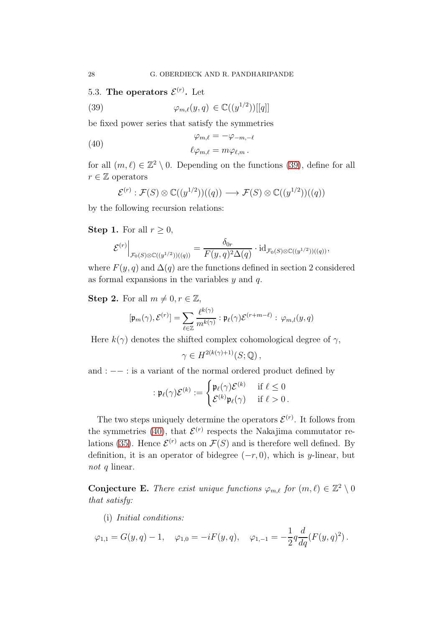5.3. The operators  $\mathcal{E}^{(r)}$ . Let

<span id="page-27-0"></span>(39) 
$$
\varphi_{m,\ell}(y,q) \in \mathbb{C}((y^{1/2}))[[q]]
$$

be fixed power series that satisfy the symmetries

(40) 
$$
\varphi_{m,\ell} = -\varphi_{-m,-\ell}
$$

$$
\ell \varphi_{m,\ell} = m \varphi_{\ell,m}.
$$

for all  $(m, \ell) \in \mathbb{Z}^2 \setminus 0$ . Depending on the functions [\(39\)](#page-27-0), define for all

$$
r \in \mathbb{Z}
$$
 operators

<span id="page-27-1"></span>
$$
\mathcal{E}^{(r)} : \mathcal{F}(S) \otimes \mathbb{C}((y^{1/2}))((q)) \longrightarrow \mathcal{F}(S) \otimes \mathbb{C}((y^{1/2}))((q))
$$

by the following recursion relations:

## **Step 1.** For all  $r \geq 0$ ,

$$
\mathcal{E}^{(r)}\Big|_{\mathcal{F}_0(S)\otimes\mathbb{C}((y^{1/2}))((q))}=\frac{\delta_{0r}}{F(y,q)^2\Delta(q)}\cdot\mathrm{id}_{\mathcal{F}_0(S)\otimes\mathbb{C}((y^{1/2}))((q))},
$$

where  $F(y, q)$  and  $\Delta(q)$  are the functions defined in section 2 considered as formal expansions in the variables  $y$  and  $q$ .

Step 2. For all  $m \neq 0, r \in \mathbb{Z}$ ,

$$
[\mathfrak{p}_m(\gamma), \mathcal{E}^{(r)}] = \sum_{\ell \in \mathbb{Z}} \frac{\ell^{k(\gamma)}}{m^{k(\gamma)}} : \mathfrak{p}_\ell(\gamma) \mathcal{E}^{(r+m-\ell)} : \varphi_{m,l}(y, q)
$$

Here  $k(\gamma)$  denotes the shifted complex cohomological degree of  $\gamma$ ,

$$
\gamma \in H^{2(k(\gamma)+1)}(S; \mathbb{Q}),
$$

and : −− : is a variant of the normal ordered product defined by

$$
:\mathfrak{p}_\ell(\gamma)\mathcal{E}^{(k)}:=\begin{cases}\mathfrak{p}_\ell(\gamma)\mathcal{E}^{(k)}&\text{if }\ell\leq 0\\\mathcal{E}^{(k)}\mathfrak{p}_\ell(\gamma)&\text{if }\ell>0\,.\end{cases}
$$

The two steps uniquely determine the operators  $\mathcal{E}^{(r)}$ . It follows from the symmetries [\(40\)](#page-27-1), that  $\mathcal{E}^{(r)}$  respects the Nakajima commutator re-lations [\(35\)](#page-24-0). Hence  $\mathcal{E}^{(r)}$  acts on  $\mathcal{F}(S)$  and is therefore well defined. By definition, it is an operator of bidegree  $(-r, 0)$ , which is y-linear, but not q linear.

**Conjecture E.** There exist unique functions  $\varphi_{m,\ell}$  for  $(m,\ell) \in \mathbb{Z}^2 \setminus \{0\}$ that satisfy:

(i) Initial conditions:

$$
\varphi_{1,1} = G(y,q) - 1, \quad \varphi_{1,0} = -iF(y,q), \quad \varphi_{1,-1} = -\frac{1}{2}q\frac{d}{dq}(F(y,q)^2).
$$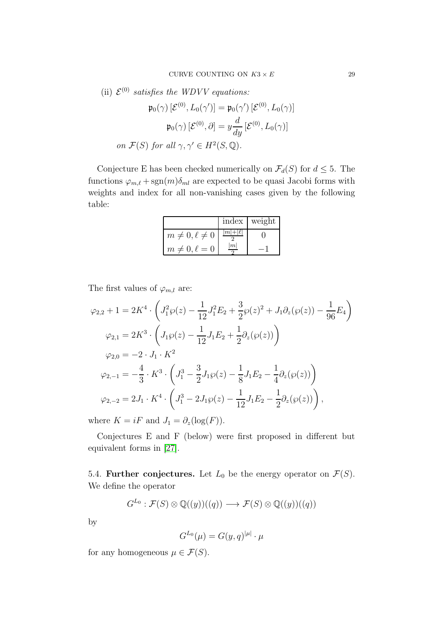(ii)  $\mathcal{E}^{(0)}$  satisfies the WDVV equations:

$$
\mathfrak{p}_0(\gamma) \left[ \mathcal{E}^{(0)}, L_0(\gamma') \right] = \mathfrak{p}_0(\gamma') \left[ \mathcal{E}^{(0)}, L_0(\gamma) \right]
$$

$$
\mathfrak{p}_0(\gamma) \left[ \mathcal{E}^{(0)}, \partial \right] = y \frac{d}{dy} \left[ \mathcal{E}^{(0)}, L_0(\gamma) \right]
$$
  
on  $\mathcal{F}(S)$  for all  $\gamma, \gamma' \in H^2(S, \mathbb{Q})$ .

Conjecture E has been checked numerically on  $\mathcal{F}_d(S)$  for  $d \leq 5$ . The functions  $\varphi_{m,\ell} + \text{sgn}(m)\delta_{ml}$  are expected to be quasi Jacobi forms with weights and index for all non-vanishing cases given by the following table:

|                         | index   weight |
|-------------------------|----------------|
| $m \neq 0, \ell \neq 0$ |                |
| $m \neq 0, \ell = 0$    |                |

The first values of  $\varphi_{m,l}$  are:

$$
\varphi_{2,2} + 1 = 2K^4 \cdot \left( J_1^2 \wp(z) - \frac{1}{12} J_1^2 E_2 + \frac{3}{2} \wp(z)^2 + J_1 \partial_z(\wp(z)) - \frac{1}{96} E_4 \right)
$$
  
\n
$$
\varphi_{2,1} = 2K^3 \cdot \left( J_1 \wp(z) - \frac{1}{12} J_1 E_2 + \frac{1}{2} \partial_z(\wp(z)) \right)
$$
  
\n
$$
\varphi_{2,0} = -2 \cdot J_1 \cdot K^2
$$
  
\n
$$
\varphi_{2,-1} = -\frac{4}{3} \cdot K^3 \cdot \left( J_1^3 - \frac{3}{2} J_1 \wp(z) - \frac{1}{8} J_1 E_2 - \frac{1}{4} \partial_z(\wp(z)) \right)
$$
  
\n
$$
\varphi_{2,-2} = 2J_1 \cdot K^4 \cdot \left( J_1^3 - 2J_1 \wp(z) - \frac{1}{12} J_1 E_2 - \frac{1}{2} \partial_z(\wp(z)) \right),
$$

where  $K = iF$  and  $J_1 = \partial_z(\log(F)).$ 

Conjectures E and F (below) were first proposed in different but equivalent forms in [\[27\]](#page-35-7).

5.4. **Further conjectures.** Let  $L_0$  be the energy operator on  $\mathcal{F}(S)$ . We define the operator

$$
G^{L_0} : \mathcal{F}(S) \otimes \mathbb{Q}((y))((q)) \longrightarrow \mathcal{F}(S) \otimes \mathbb{Q}((y))((q))
$$

by

$$
G^{L_0}(\mu) = G(y, q)^{|\mu|} \cdot \mu
$$

for any homogeneous  $\mu \in \mathcal{F}(S)$ .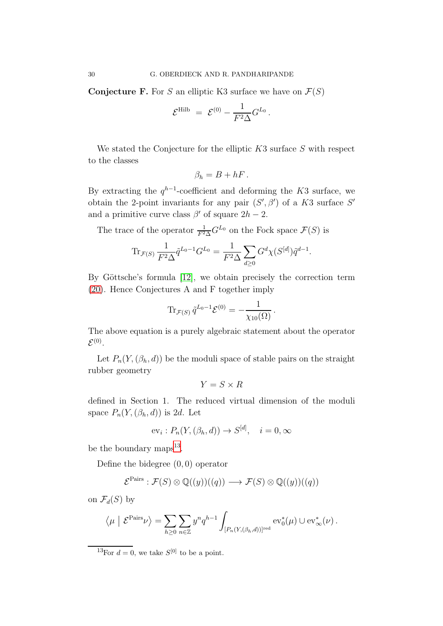**Conjecture F.** For S an elliptic K3 surface we have on  $\mathcal{F}(S)$ 

$$
\mathcal{E}^{\mathrm{Hilb}}\ =\ \mathcal{E}^{(0)}-\frac{1}{F^2\Delta}G^{L_0}\,.
$$

We stated the Conjecture for the elliptic  $K3$  surface S with respect to the classes

$$
\beta_h=B+hF.
$$

By extracting the  $q^{h-1}$ -coefficient and deforming the K3 surface, we obtain the 2-point invariants for any pair  $(S', \beta')$  of a K3 surface S' and a primitive curve class  $\beta'$  of square  $2h-2$ .

The trace of the operator  $\frac{1}{F^2\Delta}G^{L_0}$  on the Fock space  $\mathcal{F}(S)$  is

$$
\text{Tr}_{\mathcal{F}(S)} \frac{1}{F^2 \Delta} \tilde{q}^{L_0 - 1} G^{L_0} = \frac{1}{F^2 \Delta} \sum_{d \ge 0} G^d \chi(S^{[d]}) \tilde{q}^{d-1}.
$$

By Göttsche's formula  $[12]$ , we obtain precisely the correction term [\(20\)](#page-13-0). Hence Conjectures A and F together imply

$$
\text{Tr}_{\mathcal{F}(S)}\,\tilde{q}^{L_0-1}\mathcal{E}^{(0)} = -\frac{1}{\chi_{10}(\Omega)}\,.
$$

The above equation is a purely algebraic statement about the operator  $\mathcal{E}^{(0)}$  .

Let  $P_n(Y, (\beta_h, d))$  be the moduli space of stable pairs on the straight rubber geometry

$$
Y = S \times R
$$

defined in Section 1. The reduced virtual dimension of the moduli space  $P_n(Y, (\beta_h, d))$  is 2d. Let

$$
ev_i: P_n(Y, (\beta_h, d)) \to S^{[d]}, \quad i = 0, \infty
$$

be the boundary maps<sup>[13](#page-29-0)</sup>.

Define the bidegree  $(0, 0)$  operator

$$
\mathcal{E}^{\text{Pairs}} : \mathcal{F}(S) \otimes \mathbb{Q}((y))((q)) \longrightarrow \mathcal{F}(S) \otimes \mathbb{Q}((y))((q))
$$

on  $\mathcal{F}_d(S)$  by

$$
\left\langle \mu \mid \mathcal{E}^{\text{Pairs}} \nu \right\rangle = \sum_{h \geq 0} \sum_{n \in \mathbb{Z}} y^n q^{h-1} \int_{[P_n(Y,(\beta_h,d))]^{\text{red}}} \text{ev}_0^*(\mu) \cup \text{ev}_\infty^*(\nu).
$$

<span id="page-29-0"></span><sup>13</sup>For  $d = 0$ , we take  $S^{[0]}$  to be a point.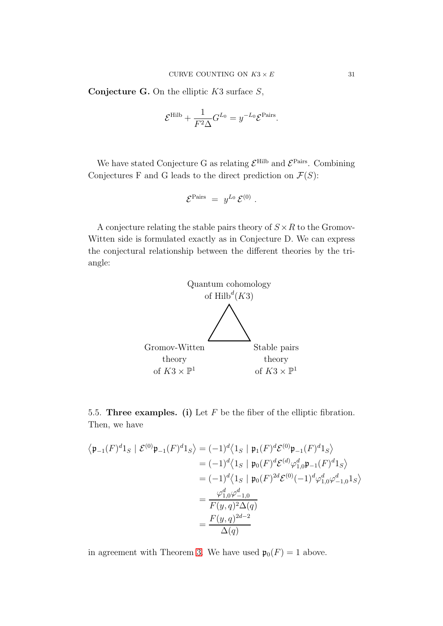**Conjecture G.** On the elliptic  $K3$  surface  $S$ ,

$$
\mathcal{E}^{\text{Hilb}} + \frac{1}{F^2 \Delta} G^{L_0} = y^{-L_0} \mathcal{E}^{\text{Pairs}}.
$$

We have stated Conjecture G as relating  $\mathcal{E}^{\text{Hilb}}$  and  $\mathcal{E}^{\text{Pairs}}$ . Combining Conjectures F and G leads to the direct prediction on  $\mathcal{F}(S)$ :

$$
\mathcal{E}^{\text{Pairs}} \ = \ y^{L_0} \, \mathcal{E}^{(0)} \ .
$$

A conjecture relating the stable pairs theory of  $S \times R$  to the Gromov-Witten side is formulated exactly as in Conjecture D. We can express the conjectural relationship between the different theories by the triangle:



5.5. Three examples. (i) Let  $F$  be the fiber of the elliptic fibration. Then, we have

$$
\begin{aligned}\n\langle \mathfrak{p}_{-1}(F)^{d}1_{S} \mid \mathcal{E}^{(0)}\mathfrak{p}_{-1}(F)^{d}1_{S}\rangle &= (-1)^{d}\langle 1_{S} \mid \mathfrak{p}_{1}(F)^{d}\mathcal{E}^{(0)}\mathfrak{p}_{-1}(F)^{d}1_{S}\rangle \\
&= (-1)^{d}\langle 1_{S} \mid \mathfrak{p}_{0}(F)^{d}\mathcal{E}^{(d)}\varphi_{1,0}^{d}\mathfrak{p}_{-1}(F)^{d}1_{S}\rangle \\
&= (-1)^{d}\langle 1_{S} \mid \mathfrak{p}_{0}(F)^{2d}\mathcal{E}^{(0)}(-1)^{d}\varphi_{1,0}^{d}\varphi_{-1,0}^{d}1_{S}\rangle \\
&= \frac{\varphi_{1,0}^{d}\varphi_{-1,0}^{d}}{F(y,q)^{2}\Delta(q)} \\
&= \frac{F(y,q)^{2d-2}}{\Delta(q)}\n\end{aligned}
$$

in agreement with Theorem [3.](#page-11-1) We have used  $\mathfrak{p}_0(F) = 1$  above.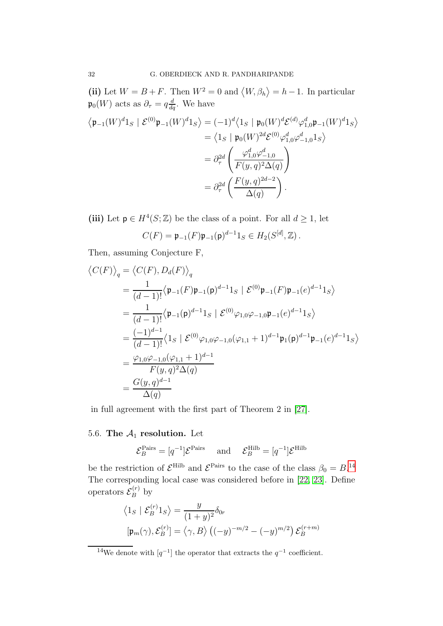(ii) Let  $W = B + F$ . Then  $W^2 = 0$  and  $\langle W, \beta_h \rangle = h - 1$ . In particular  $\mathfrak{p}_0(W)$  acts as  $\partial_{\tau} = q \frac{d}{dq}$ . We have

$$
\langle \mathfrak{p}_{-1}(W)^d 1_S \mid \mathcal{E}^{(0)} \mathfrak{p}_{-1}(W)^d 1_S \rangle = (-1)^d \langle 1_S \mid \mathfrak{p}_0(W)^d \mathcal{E}^{(d)} \varphi_{1,0}^d \mathfrak{p}_{-1}(W)^d 1_S \rangle
$$
  
\n
$$
= \langle 1_S \mid \mathfrak{p}_0(W)^{2d} \mathcal{E}^{(0)} \varphi_{1,0}^d \varphi_{-1,0}^d 1_S \rangle
$$
  
\n
$$
= \partial_{\tau}^{2d} \left( \frac{\varphi_{1,0}^d \varphi_{-1,0}^d}{F(y,q)^2 \Delta(q)} \right)
$$
  
\n
$$
= \partial_{\tau}^{2d} \left( \frac{F(y,q)^{2d-2}}{\Delta(q)} \right).
$$

(iii) Let  $p \in H^4(S; \mathbb{Z})$  be the class of a point. For all  $d \geq 1$ , let

$$
C(F) = \mathfrak{p}_{-1}(F)\mathfrak{p}_{-1}(\mathfrak{p})^{d-1}1_S \in H_2(S^{[d]},{\mathbb{Z}}).
$$

Then, assuming Conjecture F,

$$
\langle C(F) \rangle_{q} = \langle C(F), D_{d}(F) \rangle_{q}
$$
  
=  $\frac{1}{(d-1)!} \langle \mathfrak{p}_{-1}(F) \mathfrak{p}_{-1}(p)^{d-1} 1_{S} | \mathcal{E}^{(0)} \mathfrak{p}_{-1}(F) \mathfrak{p}_{-1}(e)^{d-1} 1_{S} \rangle$   
=  $\frac{1}{(d-1)!} \langle \mathfrak{p}_{-1}(p)^{d-1} 1_{S} | \mathcal{E}^{(0)} \varphi_{1,0} \varphi_{-1,0} \mathfrak{p}_{-1}(e)^{d-1} 1_{S} \rangle$   
=  $\frac{(-1)^{d-1}}{(d-1)!} \langle 1_{S} | \mathcal{E}^{(0)} \varphi_{1,0} \varphi_{-1,0} (\varphi_{1,1} + 1)^{d-1} \mathfrak{p}_{1}(p)^{d-1} \mathfrak{p}_{-1}(e)^{d-1} 1_{S} \rangle$   
=  $\frac{\varphi_{1,0} \varphi_{-1,0} (\varphi_{1,1} + 1)^{d-1}}{F(y,q)^{2} \Delta(q)}$   
=  $\frac{G(y,q)^{d-1}}{\Delta(q)}$ 

in full agreement with the first part of Theorem 2 in [\[27\]](#page-35-7).

# 5.6. The  $A_1$  resolution. Let

$$
\mathcal{E}_B^{\text{Pairs}} = [q^{-1}]\mathcal{E}^{\text{Pairs}} \quad \text{and} \quad \mathcal{E}_B^{\text{Hilb}} = [q^{-1}]\mathcal{E}^{\text{Hilb}}
$$

be the restriction of  $\mathcal{E}^{\text{Hilb}}$  and  $\mathcal{E}^{\text{Pairs}}$  to the case of the class  $\beta_0 = B$ .<sup>[14](#page-31-0)</sup> The corresponding local case was considered before in [\[22,](#page-35-23) [23\]](#page-35-20). Define operators  $\mathcal{E}_B^{(r)}$  by

$$
\langle 1_S | \mathcal{E}_B^{(r)} 1_S \rangle = \frac{y}{(1+y)^2} \delta_{0r}
$$

$$
[\mathfrak{p}_m(\gamma), \mathcal{E}_B^{(r)}] = \langle \gamma, B \rangle \left( (-y)^{-m/2} - (-y)^{m/2} \right) \mathcal{E}_B^{(r+m)}
$$

<span id="page-31-0"></span><sup>&</sup>lt;sup>14</sup>We denote with  $[q^{-1}]$  the operator that extracts the  $q^{-1}$  coefficient.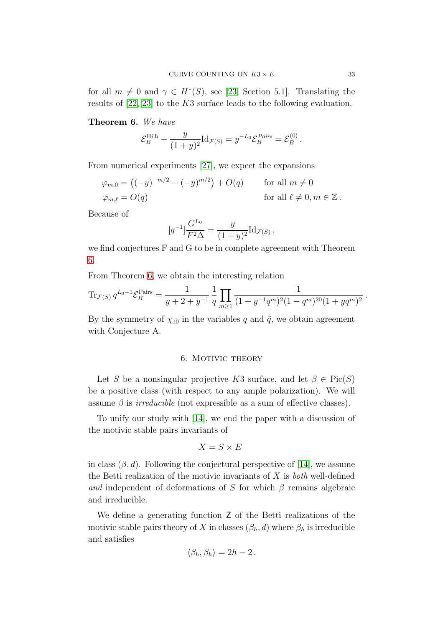for all  $m \neq 0$  and  $\gamma \in H^*(S)$ , see [\[23,](#page-35-20) Section 5.1]. Translating the results of [\[22,](#page-35-23) [23\]](#page-35-20) to the K3 surface leads to the following evaluation.

### <span id="page-32-1"></span>Theorem 6. We have

$$
\mathcal{E}_B^{\text{Hilb}} + \frac{y}{(1+y)^2} \text{Id}_{\mathcal{F}(\text{S})} = y^{-L_0} \mathcal{E}_B^{Pairs} = \mathcal{E}_B^{(0)}.
$$

From numerical experiments [\[27\]](#page-35-7), we expect the expansions

$$
\varphi_{m,0} = \left( (-y)^{-m/2} - (-y)^{m/2} \right) + O(q) \quad \text{for all } m \neq 0
$$
  

$$
\varphi_{m,\ell} = O(q) \quad \text{for all } \ell \neq 0, m \in \mathbb{Z}.
$$

Because of

$$
[q^{-1}]\frac{G^{L_0}}{F^2\Delta} = \frac{y}{(1+y)^2} \mathrm{Id}_{\mathcal{F}(S)},
$$

we find conjectures F and G to be in complete agreement with Theorem [6.](#page-32-1)

From Theorem [6,](#page-32-1) we obtain the interesting relation

$$
\operatorname{Tr}_{\mathcal{F}(S)} q^{L_0 - 1} \mathcal{E}_B^{\text{Pairs}} = \frac{1}{y + 2 + y^{-1}} \frac{1}{q} \prod_{m \ge 1} \frac{1}{(1 + y^{-1}q^m)^2 (1 - q^m)^{20} (1 + yq^m)^2}.
$$

<span id="page-32-0"></span>By the symmetry of  $\chi_{10}$  in the variables q and  $\tilde{q}$ , we obtain agreement with Conjecture A.

#### 6. MOTIVIC THEORY

Let S be a nonsingular projective K3 surface, and let  $\beta \in Pic(S)$ be a positive class (with respect to any ample polarization). We will assume  $\beta$  is *irreducible* (not expressible as a sum of effective classes).

To unify our study with [\[14\]](#page-35-8), we end the paper with a discussion of the motivic stable pairs invariants of

$$
X = S \times E
$$

in class  $(\beta, d)$ . Following the conjectural perspective of [\[14\]](#page-35-8), we assume the Betti realization of the motivic invariants of  $X$  is *both* well-defined and independent of deformations of S for which  $\beta$  remains algebraic and irreducible.

We define a generating function Z of the Betti realizations of the motivic stable pairs theory of X in classes  $(\beta_h, d)$  where  $\beta_h$  is irreducible and satisfies

$$
\langle \beta_h, \beta_h \rangle = 2h - 2.
$$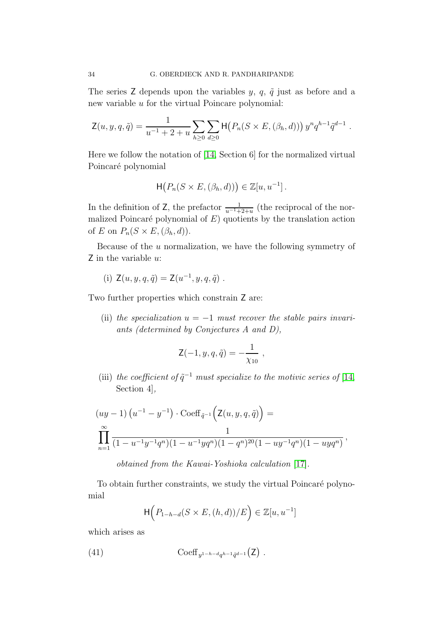The series Z depends upon the variables  $y, q, \tilde{q}$  just as before and a new variable u for the virtual Poincare polynomial:

$$
\mathsf{Z}(u, y, q, \tilde{q}) = \frac{1}{u^{-1} + 2 + u} \sum_{h \geq 0} \sum_{d \geq 0} \mathsf{H}\big(P_n(S \times E, (\beta_h, d))\big) y^n q^{h-1} \tilde{q}^{d-1}.
$$

Here we follow the notation of [\[14,](#page-35-8) Section 6] for the normalized virtual Poincaré polynomial

$$
\mathsf{H}(P_n(S \times E, (\beta_h, d))) \in \mathbb{Z}[u, u^{-1}].
$$

In the definition of Z, the prefactor  $\frac{1}{u^{-1}+2+u}$  (the reciprocal of the normalized Poincaré polynomial of  $E$ ) quotients by the translation action of E on  $P_n(S \times E, (\beta_h, d)).$ 

Because of the  $u$  normalization, we have the following symmetry of  $Z$  in the variable  $u$ :

(i) 
$$
Z(u, y, q, \tilde{q}) = Z(u^{-1}, y, q, \tilde{q})
$$
.

Two further properties which constrain Z are:

(ii) the specialization  $u = -1$  must recover the stable pairs invariants (determined by Conjectures A and D),

$$
\mathsf{Z}(-1, y, q, \tilde{q}) = -\frac{1}{\chi_{10}} ,
$$

(iii) the coefficient of  $\tilde{q}^{-1}$  must specialize to the motivic series of [\[14,](#page-35-8) Section 4],

$$
(uy-1)\left(u^{-1}-y^{-1}\right) \cdot \text{Coeff}_{\tilde{q}^{-1}}\left(\mathsf{Z}(u,y,q,\tilde{q})\right) =
$$
  

$$
\prod_{n=1}^{\infty} \frac{1}{(1-u^{-1}y^{-1}q^n)(1-u^{-1}yq^n)(1-q^n)^{20}(1-uy^{-1}q^n)(1-uyq^n)},
$$

obtained from the Kawai-Yoshioka calculation [\[17\]](#page-35-21).

To obtain further constraints, we study the virtual Poincaré polynomial

<span id="page-33-0"></span>
$$
\mathsf{H}\Big(P_{1-h-d}(S\times E,(h,d))/E\Big)\in\mathbb{Z}[u,u^{-1}]
$$

which arises as

(41) 
$$
\operatorname{Coeff}_{y^{1-h-d}q^{h-1}\tilde{q}^{d-1}}(\mathsf{Z}) .
$$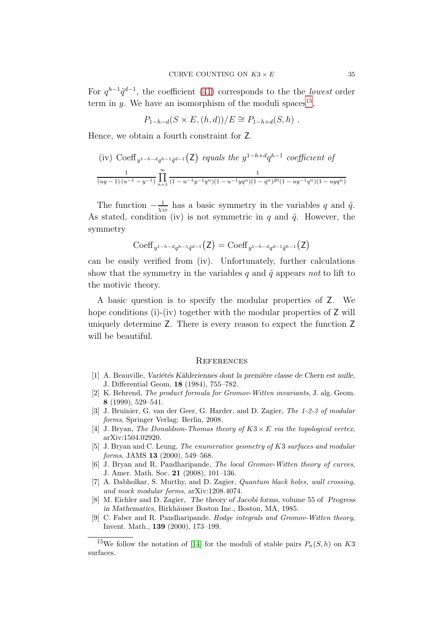For  $q^{h-1}\tilde{q}^{d-1}$ , the coefficient [\(41\)](#page-33-0) corresponds to the the lowest order term in y. We have an isomorphism of the moduli spaces<sup>[15](#page-34-10)</sup>,

 $P_{1-h-d}(S \times E, (h, d))/E \cong P_{1-h+d}(S, h)$ .

Hence, we obtain a fourth constraint for Z.

(iv) Coeff<sub>y1-h-dqh-1</sub>
$$
\tilde{q}^{d-1}
$$
 (**Z**) equals the  $y^{1-h+d}q^{h-1}$  coefficient of  

$$
\frac{1}{(uy-1)(u^{-1}-y^{-1})}\prod_{n=1}^{\infty}\frac{1}{(1-u^{-1}y^{-1}q^n)(1-u^{-1}yq^n)(1-q^n)^{20}(1-uy^{-1}q^n)(1-uyq^n)}
$$

The function  $-\frac{1}{\gamma_1}$  $\frac{1}{\chi_{10}}$  has a basic symmetry in the variables q and  $\tilde{q}$ . As stated, condition (iv) is not symmetric in q and  $\tilde{q}$ . However, the symmetry

$$
\mathrm{Coeff}_{y^{1-h-d}q^{h-1}\tilde{q}^{d-1}}(\mathsf{Z}) = \mathrm{Coeff}_{y^{1-h-d}q^{d-1}\tilde{q}^{h-1}}(\mathsf{Z})
$$

can be easily verified from (iv). Unfortunately, further calculations show that the symmetry in the variables q and  $\tilde{q}$  appears not to lift to the motivic theory.

A basic question is to specify the modular properties of Z. We hope conditions (i)-(iv) together with the modular properties of  $Z$  will uniquely determine Z. There is every reason to expect the function Z will be beautiful.

#### <span id="page-34-0"></span>**REFERENCES**

- <span id="page-34-3"></span>[1] A. Beauville, *Variétés Kähleriennes dont la première classe de Chern est nulle*, J. Differential Geom. 18 (1984), 755–782.
- <span id="page-34-8"></span>[2] K. Behrend, *The product formula for Gromov-Witten invariants*, J. alg. Geom. 8 (1999), 529–541.
- <span id="page-34-7"></span>[3] J. Bruinier, G. van der Geer, G. Harder, and D. Zagier, *The 1-2-3 of modular forms*, Springer Verlag: Berlin, 2008.
- <span id="page-34-9"></span><span id="page-34-5"></span>[4] J. Bryan, *The Donaldson-Thomas theory of* K3 × E *via the topological vertex*, arXiv:1504.02920.
- [5] J. Bryan and C. Leung, *The enumerative geometry of* K3 *surfaces and modular forms*, JAMS 13 (2000), 549–568.
- <span id="page-34-1"></span>[6] J. Bryan and R. Pandharipande, *The local Gromov-Witten theory of curves*, J. Amer. Math. Soc. 21 (2008), 101–136.
- <span id="page-34-4"></span>[7] A. Dabholkar, S. Murthy, and D. Zagier, *Quantum black holes, wall crossing, and mock modular forms*, arXiv:1208.4074.
- <span id="page-34-2"></span>[8] M. Eichler and D. Zagier, The theory of Jacobi forms, volume 55 of Progress in Mathematics, Birkhäuser Boston Inc., Boston, MA, 1985.
- <span id="page-34-6"></span>[9] C. Faber and R. Pandharipande. *Hodge integrals and Gromov-Witten theory*, Invent. Math., 139 (2000), 173–199.

<span id="page-34-10"></span><sup>&</sup>lt;sup>15</sup>We follow the notation of [\[14\]](#page-35-8) for the moduli of stable pairs  $P_n(S, h)$  on K3 surfaces.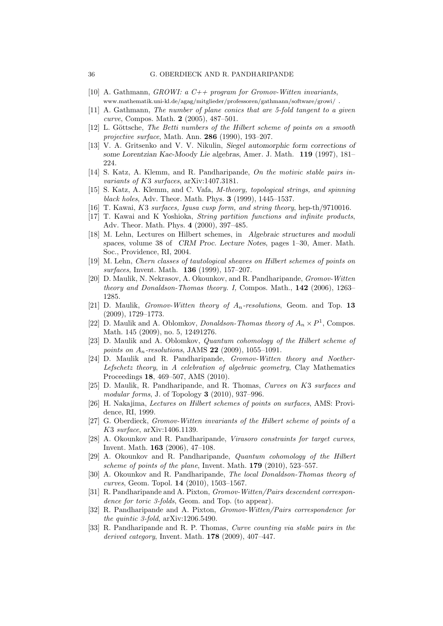- <span id="page-35-15"></span><span id="page-35-14"></span>[10] A. Gathmann, *GROWI: a C++ program for Gromov-Witten invariants*, www.mathematik.uni-kl.de/agag/mitglieder/professoren/gathmann/software/growi/ .
- [11] A. Gathmann, *The number of plane conics that are 5-fold tangent to a given curve*, Compos. Math. 2 (2005), 487–501.
- <span id="page-35-22"></span>[12] L. Göttsche, *The Betti numbers of the Hilbert scheme of points on a smooth projective surface*, Math. Ann. 286 (1990), 193–207.
- <span id="page-35-9"></span>[13] V. A. Gritsenko and V. V. Nikulin, Siegel automorphic form corrections of some Lorentzian Kac-Moody Lie algebras, Amer. J. Math. 119 (1997), 181– 224.
- <span id="page-35-8"></span><span id="page-35-1"></span>[14] S. Katz, A. Klemm, and R. Pandharipande, *On the motivic stable pairs invariants of* K3 *surfaces*, arXiv:1407.3181.
- [15] S. Katz, A. Klemm, and C. Vafa, *M-theory, topological strings, and spinning black holes*, Adv. Theor. Math. Phys. 3 (1999), 1445–1537.
- <span id="page-35-21"></span><span id="page-35-10"></span>[16] T. Kawai, K3 *surfaces, Igusa cusp form, and string theory*, hep-th/9710016.
- [17] T. Kawai and K Yoshioka, *String partition functions and infinite products*, Adv. Theor. Math. Phys. 4 (2000), 397–485.
- <span id="page-35-18"></span>[18] M. Lehn, Lectures on Hilbert schemes, in Algebraic structures and moduli spaces, volume 38 of CRM Proc. Lecture Notes, pages 1–30, Amer. Math. Soc., Providence, RI, 2004.
- <span id="page-35-19"></span>[19] M. Lehn, *Chern classes of tautological sheaves on Hilbert schemes of points on surfaces*, Invent. Math. 136 (1999), 157–207.
- <span id="page-35-3"></span>[20] D. Maulik, N. Nekrasov, A. Okounkov, and R. Pandharipande, *Gromov-Witten theory and Donaldson-Thomas theory. I,* Compos. Math., 142 (2006), 1263– 1285.
- <span id="page-35-13"></span>[21] D. Maulik, *Gromov-Witten theory of* An*-resolutions*, Geom. and Top. 13 (2009), 1729–1773.
- <span id="page-35-23"></span>[22] D. Maulik and A. Oblomkov, *Donaldson-Thomas theory of*  $A_n \times P^1$ , Compos. Math. 145 (2009), no. 5, 12491276.
- <span id="page-35-20"></span>[23] D. Maulik and A. Oblomkov, *Quantum cohomology of the Hilbert scheme of points on* An*-resolutions*, JAMS 22 (2009), 1055–1091.
- <span id="page-35-0"></span>[24] D. Maulik and R. Pandharipande, *Gromov-Witten theory and Noether-Lefschetz theory*, in *A celebration of algebraic geometry*, Clay Mathematics Proceedings 18, 469–507, AMS (2010).
- <span id="page-35-2"></span>[25] D. Maulik, R. Pandharipande, and R. Thomas, *Curves on* K3 *surfaces and modular forms*, J. of Topology 3 (2010), 937–996.
- <span id="page-35-11"></span>[26] H. Nakajima, *Lectures on Hilbert schemes of points on surfaces*, AMS: Providence, RI, 1999.
- <span id="page-35-7"></span>[27] G. Oberdieck, *Gromov-Witten invariants of the Hilbert scheme of points of a* K3 *surface*, arXiv:1406.1139.
- <span id="page-35-12"></span>[28] A. Okounkov and R. Pandharipande, *Virasoro constraints for target curves*, Invent. Math. 163 (2006), 47–108.
- <span id="page-35-5"></span>[29] A. Okounkov and R. Pandharipande, *Quantum cohomology of the Hilbert scheme of points of the plane*, Invent. Math. 179 (2010), 523–557.
- <span id="page-35-6"></span>[30] A. Okounkov and R. Pandharipande, *The local Donaldson-Thomas theory of curves*, Geom. Topol. 14 (2010), 1503–1567.
- <span id="page-35-16"></span>[31] R. Pandharipande and A. Pixton, *Gromov-Witten/Pairs descendent correspondence for toric 3-folds*, Geom. and Top. (to appear).
- <span id="page-35-17"></span>[32] R. Pandharipande and A. Pixton, *Gromov-Witten/Pairs correspondence for the quintic 3-fold*, arXiv:1206.5490.
- <span id="page-35-4"></span>[33] R. Pandharipande and R. P. Thomas, *Curve counting via stable pairs in the derived category*, Invent. Math. 178 (2009), 407–447.